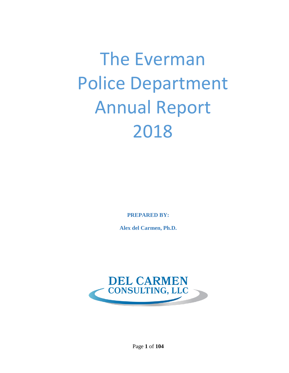# The Everman Police Department Annual Report 2018

**PREPARED BY:**

**Alex del Carmen, Ph.D.**



Page **1** of **104**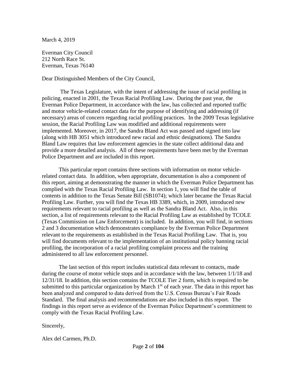March 4, 2019

Everman City Council 212 North Race St. Everman, Texas 76140

Dear Distinguished Members of the City Council,

The Texas Legislature, with the intent of addressing the issue of racial profiling in policing, enacted in 2001, the Texas Racial Profiling Law. During the past year, the Everman Police Department, in accordance with the law, has collected and reported traffic and motor vehicle-related contact data for the purpose of identifying and addressing (if necessary) areas of concern regarding racial profiling practices. In the 2009 Texas legislative session, the Racial Profiling Law was modified and additional requirements were implemented. Moreover, in 2017, the Sandra Bland Act was passed and signed into law (along with HB 3051 which introduced new racial and ethnic designations). The Sandra Bland Law requires that law enforcement agencies in the state collect additional data and provide a more detailed analysis. All of these requirements have been met by the Everman Police Department and are included in this report.

 This particular report contains three sections with information on motor vehiclerelated contact data. In addition, when appropriate, documentation is also a component of this report, aiming at demonstrating the manner in which the Everman Police Department has complied with the Texas Racial Profiling Law. In section 1, you will find the table of contents in addition to the Texas Senate Bill (SB1074); which later became the Texas Racial Profiling Law. Further, you will find the Texas HB 3389, which, in 2009, introduced new requirements relevant to racial profiling as well as the Sandra Bland Act. Also, in this section, a list of requirements relevant to the Racial Profiling Law as established by TCOLE (Texas Commission on Law Enforcement) is included. In addition, you will find, in sections 2 and 3 documentation which demonstrates compliance by the Everman Police Department relevant to the requirements as established in the Texas Racial Profiling Law. That is, you will find documents relevant to the implementation of an institutional policy banning racial profiling, the incorporation of a racial profiling complaint process and the training administered to all law enforcement personnel.

The last section of this report includes statistical data relevant to contacts, made during the course of motor vehicle stops and in accordance with the law, between 1/1/18 and 12/31/18. In addition, this section contains the TCOLE Tier 2 form, which is required to be submitted to this particular organization by March  $1<sup>st</sup>$  of each year. The data in this report has been analyzed and compared to data derived from the U.S. Census Bureau's Fair Roads Standard. The final analysis and recommendations are also included in this report. The findings in this report serve as evidence of the Everman Police Department's commitment to comply with the Texas Racial Profiling Law.

#### Sincerely,

Alex del Carmen, Ph.D.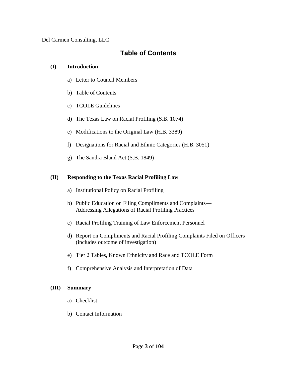Del Carmen Consulting, LLC

#### **Table of Contents**

#### **(I) Introduction**

- a) Letter to Council Members
- b) Table of Contents
- c) TCOLE Guidelines
- d) The Texas Law on Racial Profiling (S.B. 1074)
- e) Modifications to the Original Law (H.B. 3389)
- f) Designations for Racial and Ethnic Categories (H.B. 3051)
- g) The Sandra Bland Act (S.B. 1849)

#### **(II) Responding to the Texas Racial Profiling Law**

- a) Institutional Policy on Racial Profiling
- b) Public Education on Filing Compliments and Complaints— Addressing Allegations of Racial Profiling Practices
- c) Racial Profiling Training of Law Enforcement Personnel
- d) Report on Compliments and Racial Profiling Complaints Filed on Officers (includes outcome of investigation)
- e) Tier 2 Tables, Known Ethnicity and Race and TCOLE Form
- f) Comprehensive Analysis and Interpretation of Data

#### **(III) Summary**

- a) Checklist
- b) Contact Information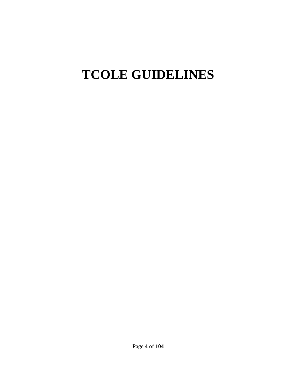## **TCOLE GUIDELINES**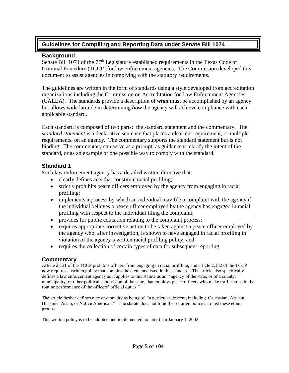#### **Guidelines for Compiling and Reporting Data under Senate Bill 1074**

#### **Background**

Senate Bill 1074 of the 77<sup>th</sup> Legislature established requirements in the Texas Code of Criminal Procedure (TCCP) for law enforcement agencies. The Commission developed this document to assist agencies in complying with the statutory requirements.

The guidelines are written in the form of standards using a style developed from accreditation organizations including the Commission on Accreditation for Law Enforcement Agencies (CALEA). The standards provide a description of *what* must be accomplished by an agency but allows wide latitude in determining *how* the agency will achieve compliance with each applicable standard.

Each standard is composed of two parts: the standard statement and the commentary. The *standard statement* is a declarative sentence that places a clear-cut requirement, or multiple requirements, on an agency. The commentary supports the standard statement but is not binding. The commentary can serve as a prompt, as guidance to clarify the intent of the standard, or as an example of one possible way to comply with the standard.

#### **Standard 1**

Each law enforcement agency has a detailed written directive that:

- clearly defines acts that constitute racial profiling;
- strictly prohibits peace officers employed by the agency from engaging in racial profiling;
- implements a process by which an individual may file a complaint with the agency if the individual believes a peace officer employed by the agency has engaged in racial profiling with respect to the individual filing the complaint;
- provides for public education relating to the complaint process;
- requires appropriate corrective action to be taken against a peace officer employed by the agency who, after investigation, is shown to have engaged in racial profiling in violation of the agency's written racial profiling policy; and
- requires the collection of certain types of data for subsequent reporting.

#### **Commentary**

Article 2.131 of the TCCP prohibits officers from engaging in racial profiling, and article 2.132 of the TCCP now requires a written policy that contains the elements listed in this standard. The article also specifically defines a law enforcement agency as it applies to this statute as an " agency of the state, or of a county, municipality, or other political subdivision of the state, that employs peace officers who make traffic stops in the routine performance of the officers' official duties."

The article further defines race or ethnicity as being of "a particular descent, including Caucasian, African, Hispanic, Asian, or Native American." The statute does not limit the required policies to just these ethnic groups.

This written policy is to be adopted and implemented no later than January 1, 2002.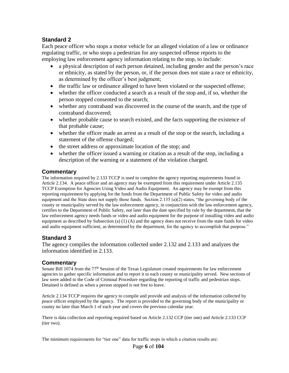#### **Standard 2**

Each peace officer who stops a motor vehicle for an alleged violation of a law or ordinance regulating traffic, or who stops a pedestrian for any suspected offense reports to the employing law enforcement agency information relating to the stop, to include:

- a physical description of each person detained, including gender and the person's race or ethnicity, as stated by the person, or, if the person does not state a race or ethnicity, as determined by the officer's best judgment;
- the traffic law or ordinance alleged to have been violated or the suspected offense;
- whether the officer conducted a search as a result of the stop and, if so, whether the person stopped consented to the search;
- whether any contraband was discovered in the course of the search, and the type of contraband discovered;
- whether probable cause to search existed, and the facts supporting the existence of that probable cause;
- whether the officer made an arrest as a result of the stop or the search, including a statement of the offense charged;
- the street address or approximate location of the stop; and
- whether the officer issued a warning or citation as a result of the stop, including a description of the warning or a statement of the violation charged.

#### **Commentary**

The information required by 2.133 TCCP is used to complete the agency reporting requirements found in Article 2.134. A peace officer and an agency may be exempted from this requirement under Article 2.135 TCCP Exemption for Agencies Using Video and Audio Equipment. An agency may be exempt from this reporting requirement by applying for the funds from the Department of Public Safety for video and audio equipment and the State does not supply those funds. Section 2.135 (a)(2) states, "the governing body of the county or municipality served by the law enforcement agency, in conjunction with the law enforcement agency, certifies to the Department of Public Safety, not later than the date specified by rule by the department, that the law enforcement agency needs funds or video and audio equipment for the purpose of installing video and audio equipment as described by Subsection (a)  $(1)$  (A) and the agency does not receive from the state funds for video and audio equipment sufficient, as determined by the department, for the agency to accomplish that purpose."

#### **Standard 3**

The agency compiles the information collected under 2.132 and 2.133 and analyzes the information identified in 2.133.

#### **Commentary**

Senate Bill 1074 from the 77<sup>th</sup> Session of the Texas Legislature created requirements for law enforcement agencies to gather specific information and to report it to each county or municipality served. New sections of law were added to the Code of Criminal Procedure regarding the reporting of traffic and pedestrian stops. Detained is defined as when a person stopped is not free to leave.

Article 2.134 TCCP requires the agency to compile and provide and analysis of the information collected by peace officer employed by the agency. The report is provided to the governing body of the municipality or county no later than March 1 of each year and covers the previous calendar year.

There is data collection and reporting required based on Article 2.132 CCP (tier one) and Article 2.133 CCP (tier two).

The minimum requirements for "tier one" data for traffic stops in which a citation results are: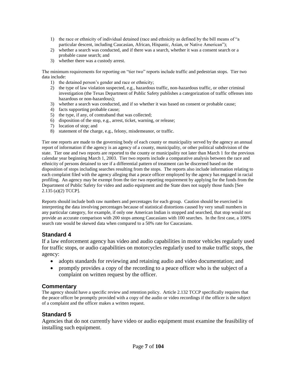- 1) the race or ethnicity of individual detained (race and ethnicity as defined by the bill means of "a particular descent, including Caucasian, African, Hispanic, Asian, or Native American");
- 2) whether a search was conducted, and if there was a search, whether it was a consent search or a probable cause search; and
- 3) whether there was a custody arrest.

The minimum requirements for reporting on "tier two" reports include traffic and pedestrian stops. Tier two data include:

- 1) the detained person's gender and race or ethnicity;
- 2) the type of law violation suspected, e.g., hazardous traffic, non-hazardous traffic, or other criminal investigation (the Texas Department of Public Safety publishes a categorization of traffic offenses into hazardous or non-hazardous);
- 3) whether a search was conducted, and if so whether it was based on consent or probable cause;
- 4) facts supporting probable cause;
- 5) the type, if any, of contraband that was collected;
- 6) disposition of the stop, e.g., arrest, ticket, warning, or release;
- 7) location of stop; and
- 8) statement of the charge, e.g., felony, misdemeanor, or traffic.

Tier one reports are made to the governing body of each county or municipality served by the agency an annual report of information if the agency is an agency of a county, municipality, or other political subdivision of the state. Tier one and two reports are reported to the county or municipality not later than March 1 for the previous calendar year beginning March 1, 2003. Tier two reports include a comparative analysis between the race and ethnicity of persons detained to see if a differential pattern of treatment can be discerned based on the disposition of stops including searches resulting from the stops. The reports also include information relating to each complaint filed with the agency alleging that a peace officer employed by the agency has engaged in racial profiling. An agency may be exempt from the tier two reporting requirement by applying for the funds from the Department of Public Safety for video and audio equipment and the State does not supply those funds [See 2.135 (a)(2) TCCP].

Reports should include both raw numbers and percentages for each group. Caution should be exercised in interpreting the data involving percentages because of statistical distortions caused by very small numbers in any particular category, for example, if only one American Indian is stopped and searched, that stop would not provide an accurate comparison with 200 stops among Caucasians with 100 searches. In the first case, a 100% search rate would be skewed data when compared to a 50% rate for Caucasians.

#### **Standard 4**

If a law enforcement agency has video and audio capabilities in motor vehicles regularly used for traffic stops, or audio capabilities on motorcycles regularly used to make traffic stops, the agency:

- adopts standards for reviewing and retaining audio and video documentation; and
- promptly provides a copy of the recording to a peace officer who is the subject of a complaint on written request by the officer.

#### **Commentary**

The agency should have a specific review and retention policy. Article 2.132 TCCP specifically requires that the peace officer be promptly provided with a copy of the audio or video recordings if the officer is the subject of a complaint and the officer makes a written request.

#### **Standard 5**

Agencies that do not currently have video or audio equipment must examine the feasibility of installing such equipment.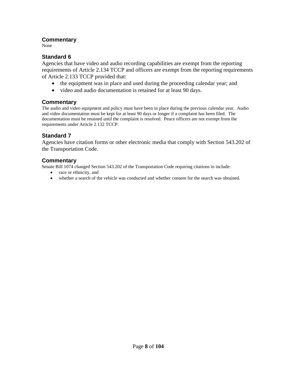#### **Commentary**

None

#### **Standard 6**

Agencies that have video and audio recording capabilities are exempt from the reporting requirements of Article 2.134 TCCP and officers are exempt from the reporting requirements of Article 2.133 TCCP provided that:

- the equipment was in place and used during the proceeding calendar year; and
- video and audio documentation is retained for at least 90 days.

#### **Commentary**

The audio and video equipment and policy must have been in place during the previous calendar year. Audio and video documentation must be kept for at least 90 days or longer if a complaint has been filed. The documentation must be retained until the complaint is resolved. Peace officers are not exempt from the requirements under Article 2.132 TCCP.

#### **Standard 7**

Agencies have citation forms or other electronic media that comply with Section 543.202 of the Transportation Code.

#### **Commentary**

Senate Bill 1074 changed Section 543.202 of the Transportation Code requiring citations to include:

- race or ethnicity, and
- whether a search of the vehicle was conducted and whether consent for the search was obtained.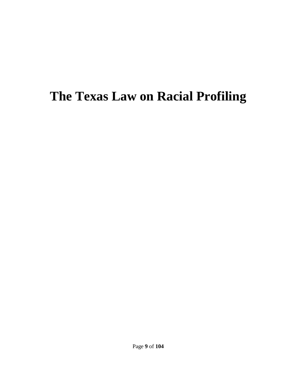### **The Texas Law on Racial Profiling**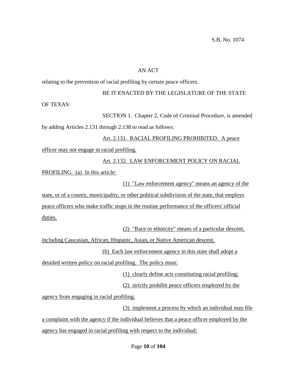#### AN ACT

relating to the prevention of racial profiling by certain peace officers.

#### BE IT ENACTED BY THE LEGISLATURE OF THE STATE

OF TEXAS:

SECTION 1. Chapter 2, Code of Criminal Procedure, is amended

by adding Articles 2.131 through 2.138 to read as follows:

### Art. 2.131. RACIAL PROFILING PROHIBITED. A peace officer may not engage in racial profiling. Art. 2.132. LAW ENFORCEMENT POLICY ON RACIAL

PROFILING. (a) In this article:

(1) "Law enforcement agency" means an agency of the

state, or of a county, municipality, or other political subdivision of the state, that employs peace officers who make traffic stops in the routine performance of the officers' official duties.

(2) "Race or ethnicity" means of a particular descent,

including Caucasian, African, Hispanic, Asian, or Native American descent.

(b) Each law enforcement agency in this state shall adopt a

detailed written policy on racial profiling. The policy must:

(1) clearly define acts constituting racial profiling;

(2) strictly prohibit peace officers employed by the

agency from engaging in racial profiling;

(3) implement a process by which an individual may file

a complaint with the agency if the individual believes that a peace officer employed by the agency has engaged in racial profiling with respect to the individual;

Page **10** of **104**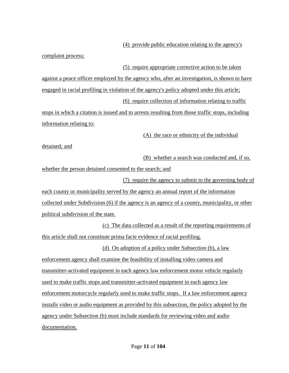(4) provide public education relating to the agency's

complaint process;

(5) require appropriate corrective action to be taken

against a peace officer employed by the agency who, after an investigation, is shown to have engaged in racial profiling in violation of the agency's policy adopted under this article; (6) require collection of information relating to traffic

stops in which a citation is issued and to arrests resulting from those traffic stops, including information relating to:

(A) the race or ethnicity of the individual

detained; and

(B) whether a search was conducted and, if so,

whether the person detained consented to the search; and

(7) require the agency to submit to the governing body of each county or municipality served by the agency an annual report of the information collected under Subdivision (6) if the agency is an agency of a county, municipality, or other political subdivision of the state.

(c) The data collected as a result of the reporting requirements of this article shall not constitute prima facie evidence of racial profiling.

(d) On adoption of a policy under Subsection (b), a law enforcement agency shall examine the feasibility of installing video camera and transmitter-activated equipment in each agency law enforcement motor vehicle regularly used to make traffic stops and transmitter-activated equipment in each agency law enforcement motorcycle regularly used to make traffic stops. If a law enforcement agency installs video or audio equipment as provided by this subsection, the policy adopted by the agency under Subsection (b) must include standards for reviewing video and audio documentation.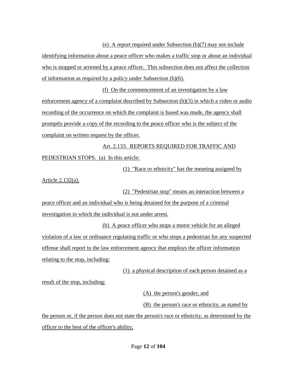(e) A report required under Subsection (b)(7) may not include identifying information about a peace officer who makes a traffic stop or about an individual who is stopped or arrested by a peace officer. This subsection does not affect the collection of information as required by a policy under Subsection (b)(6).

(f) On the commencement of an investigation by a law enforcement agency of a complaint described by Subsection (b)(3) in which a video or audio recording of the occurrence on which the complaint is based was made, the agency shall promptly provide a copy of the recording to the peace officer who is the subject of the complaint on written request by the officer.

Art. 2.133. REPORTS REQUIRED FOR TRAFFIC AND PEDESTRIAN STOPS. (a) In this article:

(1) "Race or ethnicity" has the meaning assigned by

Article 2.132(a).

(2) "Pedestrian stop" means an interaction between a

peace officer and an individual who is being detained for the purpose of a criminal investigation in which the individual is not under arrest.

(b) A peace officer who stops a motor vehicle for an alleged violation of a law or ordinance regulating traffic or who stops a pedestrian for any suspected offense shall report to the law enforcement agency that employs the officer information relating to the stop, including:

(1) a physical description of each person detained as a

result of the stop, including:

(A) the person's gender; and

(B) the person's race or ethnicity, as stated by

the person or, if the person does not state the person's race or ethnicity, as determined by the officer to the best of the officer's ability;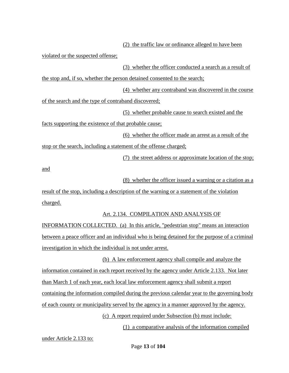(2) the traffic law or ordinance alleged to have been violated or the suspected offense; (3) whether the officer conducted a search as a result of the stop and, if so, whether the person detained consented to the search; (4) whether any contraband was discovered in the course of the search and the type of contraband discovered; (5) whether probable cause to search existed and the facts supporting the existence of that probable cause; (6) whether the officer made an arrest as a result of the stop or the search, including a statement of the offense charged; (7) the street address or approximate location of the stop;

and

(8) whether the officer issued a warning or a citation as a

result of the stop, including a description of the warning or a statement of the violation charged.

Art. 2.134. COMPILATION AND ANALYSIS OF

INFORMATION COLLECTED. (a) In this article, "pedestrian stop" means an interaction between a peace officer and an individual who is being detained for the purpose of a criminal investigation in which the individual is not under arrest.

(b) A law enforcement agency shall compile and analyze the information contained in each report received by the agency under Article 2.133. Not later than March 1 of each year, each local law enforcement agency shall submit a report containing the information compiled during the previous calendar year to the governing body of each county or municipality served by the agency in a manner approved by the agency.

(c) A report required under Subsection (b) must include:

(1) a comparative analysis of the information compiled

under Article 2.133 to: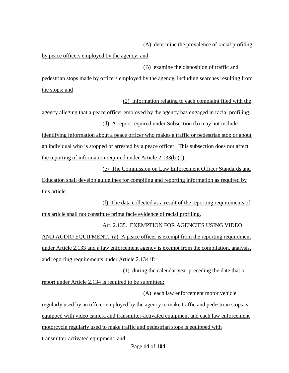(A) determine the prevalence of racial profiling

by peace officers employed by the agency; and

(B) examine the disposition of traffic and

pedestrian stops made by officers employed by the agency, including searches resulting from the stops; and

(2) information relating to each complaint filed with the

agency alleging that a peace officer employed by the agency has engaged in racial profiling. (d) A report required under Subsection (b) may not include

identifying information about a peace officer who makes a traffic or pedestrian stop or about an individual who is stopped or arrested by a peace officer. This subsection does not affect the reporting of information required under Article 2.133(b)(1).

(e) The Commission on Law Enforcement Officer Standards and Education shall develop guidelines for compiling and reporting information as required by this article.

(f) The data collected as a result of the reporting requirements of this article shall not constitute prima facie evidence of racial profiling.

#### Art. 2.135. EXEMPTION FOR AGENCIES USING VIDEO

AND AUDIO EQUIPMENT. (a) A peace officer is exempt from the reporting requirement under Article 2.133 and a law enforcement agency is exempt from the compilation, analysis, and reporting requirements under Article 2.134 if:

(1) during the calendar year preceding the date that a report under Article 2.134 is required to be submitted:

(A) each law enforcement motor vehicle

regularly used by an officer employed by the agency to make traffic and pedestrian stops is equipped with video camera and transmitter-activated equipment and each law enforcement motorcycle regularly used to make traffic and pedestrian stops is equipped with transmitter-activated equipment; and

Page **14** of **104**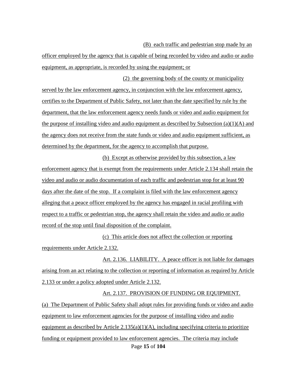(B) each traffic and pedestrian stop made by an

officer employed by the agency that is capable of being recorded by video and audio or audio equipment, as appropriate, is recorded by using the equipment; or

(2) the governing body of the county or municipality served by the law enforcement agency, in conjunction with the law enforcement agency, certifies to the Department of Public Safety, not later than the date specified by rule by the department, that the law enforcement agency needs funds or video and audio equipment for the purpose of installing video and audio equipment as described by Subsection  $(a)(1)(A)$  and the agency does not receive from the state funds or video and audio equipment sufficient, as determined by the department, for the agency to accomplish that purpose.

(b) Except as otherwise provided by this subsection, a law enforcement agency that is exempt from the requirements under Article 2.134 shall retain the video and audio or audio documentation of each traffic and pedestrian stop for at least 90 days after the date of the stop. If a complaint is filed with the law enforcement agency alleging that a peace officer employed by the agency has engaged in racial profiling with respect to a traffic or pedestrian stop, the agency shall retain the video and audio or audio record of the stop until final disposition of the complaint.

(c) This article does not affect the collection or reporting requirements under Article 2.132.

Art. 2.136. LIABILITY. A peace officer is not liable for damages arising from an act relating to the collection or reporting of information as required by Article 2.133 or under a policy adopted under Article 2.132.

#### Art. 2.137. PROVISION OF FUNDING OR EQUIPMENT.

Page **15** of **104** (a) The Department of Public Safety shall adopt rules for providing funds or video and audio equipment to law enforcement agencies for the purpose of installing video and audio equipment as described by Article  $2.135(a)(1)(A)$ , including specifying criteria to prioritize funding or equipment provided to law enforcement agencies. The criteria may include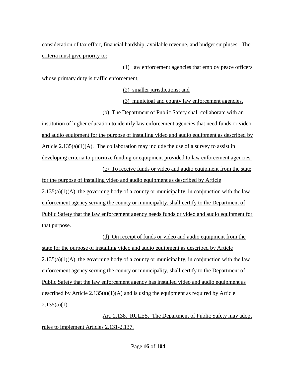consideration of tax effort, financial hardship, available revenue, and budget surpluses. The criteria must give priority to:

(1) law enforcement agencies that employ peace officers whose primary duty is traffic enforcement;

(2) smaller jurisdictions; and

(3) municipal and county law enforcement agencies.

(b) The Department of Public Safety shall collaborate with an

institution of higher education to identify law enforcement agencies that need funds or video and audio equipment for the purpose of installing video and audio equipment as described by Article  $2.135(a)(1)(A)$ . The collaboration may include the use of a survey to assist in developing criteria to prioritize funding or equipment provided to law enforcement agencies.

(c) To receive funds or video and audio equipment from the state

for the purpose of installing video and audio equipment as described by Article  $2.135(a)(1)(A)$ , the governing body of a county or municipality, in conjunction with the law enforcement agency serving the county or municipality, shall certify to the Department of Public Safety that the law enforcement agency needs funds or video and audio equipment for that purpose.

(d) On receipt of funds or video and audio equipment from the state for the purpose of installing video and audio equipment as described by Article  $2.135(a)(1)(A)$ , the governing body of a county or municipality, in conjunction with the law enforcement agency serving the county or municipality, shall certify to the Department of Public Safety that the law enforcement agency has installed video and audio equipment as described by Article  $2.135(a)(1)(A)$  and is using the equipment as required by Article  $2.135(a)(1)$ .

Art. 2.138. RULES. The Department of Public Safety may adopt rules to implement Articles 2.131-2.137.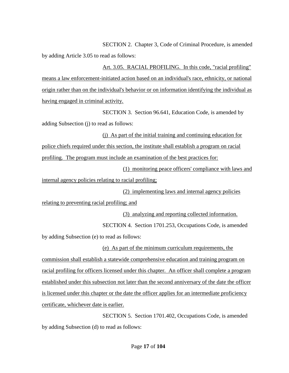SECTION 2. Chapter 3, Code of Criminal Procedure, is amended by adding Article 3.05 to read as follows:

Art. 3.05. RACIAL PROFILING. In this code, "racial profiling" means a law enforcement-initiated action based on an individual's race, ethnicity, or national origin rather than on the individual's behavior or on information identifying the individual as having engaged in criminal activity.

SECTION 3. Section 96.641, Education Code, is amended by adding Subsection (j) to read as follows:

(j) As part of the initial training and continuing education for police chiefs required under this section, the institute shall establish a program on racial profiling. The program must include an examination of the best practices for:

(1) monitoring peace officers' compliance with laws and internal agency policies relating to racial profiling;

(2) implementing laws and internal agency policies

relating to preventing racial profiling; and

(3) analyzing and reporting collected information.

SECTION 4. Section 1701.253, Occupations Code, is amended

by adding Subsection (e) to read as follows:

(e) As part of the minimum curriculum requirements, the commission shall establish a statewide comprehensive education and training program on racial profiling for officers licensed under this chapter. An officer shall complete a program established under this subsection not later than the second anniversary of the date the officer is licensed under this chapter or the date the officer applies for an intermediate proficiency certificate, whichever date is earlier.

SECTION 5. Section 1701.402, Occupations Code, is amended by adding Subsection (d) to read as follows: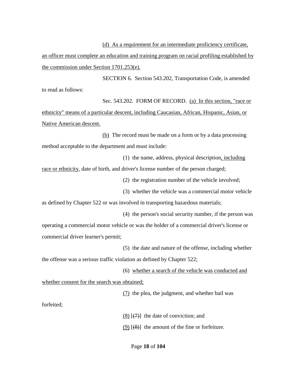(d) As a requirement for an intermediate proficiency certificate,

an officer must complete an education and training program on racial profiling established by the commission under Section 1701.253(e).

SECTION 6. Section 543.202, Transportation Code, is amended

to read as follows:

Sec. 543.202. FORM OF RECORD. (a) In this section, "race or ethnicity" means of a particular descent, including Caucasian, African, Hispanic, Asian, or Native American descent.

(b) The record must be made on a form or by a data processing method acceptable to the department and must include:

(1) the name, address, physical description, including

race or ethnicity, date of birth, and driver's license number of the person charged;

(2) the registration number of the vehicle involved;

(3) whether the vehicle was a commercial motor vehicle

as defined by Chapter 522 or was involved in transporting hazardous materials;

(4) the person's social security number, if the person was

operating a commercial motor vehicle or was the holder of a commercial driver's license or commercial driver learner's permit;

(5) the date and nature of the offense, including whether

the offense was a serious traffic violation as defined by Chapter 522;

(6) whether a search of the vehicle was conducted and

whether consent for the search was obtained;

(7) the plea, the judgment, and whether bail was

forfeited;

(8)  $[\frac{7}{7}]$  the date of conviction; and

(9)  $[$ (8)] the amount of the fine or forfeiture.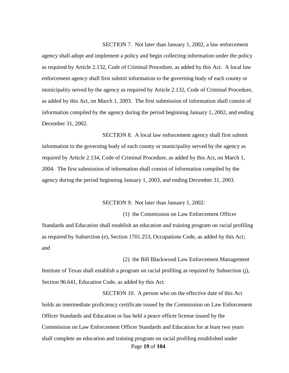SECTION 7. Not later than January 1, 2002, a law enforcement agency shall adopt and implement a policy and begin collecting information under the policy as required by Article 2.132, Code of Criminal Procedure, as added by this Act. A local law enforcement agency shall first submit information to the governing body of each county or municipality served by the agency as required by Article 2.132, Code of Criminal Procedure, as added by this Act, on March 1, 2003. The first submission of information shall consist of information compiled by the agency during the period beginning January 1, 2002, and ending December 31, 2002.

SECTION 8. A local law enforcement agency shall first submit information to the governing body of each county or municipality served by the agency as required by Article 2.134, Code of Criminal Procedure, as added by this Act, on March 1, 2004. The first submission of information shall consist of information compiled by the agency during the period beginning January 1, 2003, and ending December 31, 2003.

SECTION 9. Not later than January 1, 2002:

(1) the Commission on Law Enforcement Officer

(2) the Bill Blackwood Law Enforcement Management

Standards and Education shall establish an education and training program on racial profiling as required by Subsection (e), Section 1701.253, Occupations Code, as added by this Act; and

Institute of Texas shall establish a program on racial profiling as required by Subsection (j), Section 96.641, Education Code, as added by this Act.

Page **19** of **104** SECTION 10. A person who on the effective date of this Act holds an intermediate proficiency certificate issued by the Commission on Law Enforcement Officer Standards and Education or has held a peace officer license issued by the Commission on Law Enforcement Officer Standards and Education for at least two years shall complete an education and training program on racial profiling established under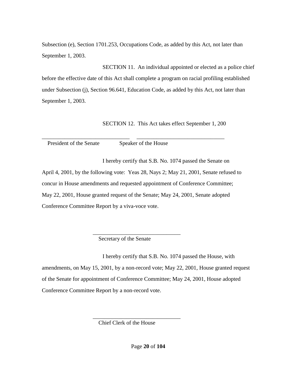Subsection (e), Section 1701.253, Occupations Code, as added by this Act, not later than September 1, 2003.

SECTION 11. An individual appointed or elected as a police chief before the effective date of this Act shall complete a program on racial profiling established under Subsection (j), Section 96.641, Education Code, as added by this Act, not later than September 1, 2003.

SECTION 12. This Act takes effect September 1, 200

President of the Senate Speaker of the House

I hereby certify that S.B. No. 1074 passed the Senate on

April 4, 2001, by the following vote: Yeas 28, Nays 2; May 21, 2001, Senate refused to concur in House amendments and requested appointment of Conference Committee; May 22, 2001, House granted request of the Senate; May 24, 2001, Senate adopted Conference Committee Report by a viva-voce vote.

\_\_\_\_\_\_\_\_\_\_\_\_\_\_\_\_\_\_\_\_\_\_\_\_\_\_\_\_\_\_\_ \_\_\_\_\_\_\_\_\_\_\_\_\_\_\_\_\_\_\_\_\_\_\_\_\_\_\_\_\_\_\_

Secretary of the Senate

 $\frac{1}{\sqrt{2}}$  ,  $\frac{1}{\sqrt{2}}$  ,  $\frac{1}{\sqrt{2}}$  ,  $\frac{1}{\sqrt{2}}$  ,  $\frac{1}{\sqrt{2}}$  ,  $\frac{1}{\sqrt{2}}$  ,  $\frac{1}{\sqrt{2}}$  ,  $\frac{1}{\sqrt{2}}$  ,  $\frac{1}{\sqrt{2}}$  ,  $\frac{1}{\sqrt{2}}$  ,  $\frac{1}{\sqrt{2}}$  ,  $\frac{1}{\sqrt{2}}$  ,  $\frac{1}{\sqrt{2}}$  ,  $\frac{1}{\sqrt{2}}$  ,  $\frac{1}{\sqrt{2}}$ 

I hereby certify that S.B. No. 1074 passed the House, with amendments, on May 15, 2001, by a non-record vote; May 22, 2001, House granted request of the Senate for appointment of Conference Committee; May 24, 2001, House adopted Conference Committee Report by a non-record vote.

 $\frac{1}{\sqrt{2}}$  ,  $\frac{1}{\sqrt{2}}$  ,  $\frac{1}{\sqrt{2}}$  ,  $\frac{1}{\sqrt{2}}$  ,  $\frac{1}{\sqrt{2}}$  ,  $\frac{1}{\sqrt{2}}$  ,  $\frac{1}{\sqrt{2}}$  ,  $\frac{1}{\sqrt{2}}$  ,  $\frac{1}{\sqrt{2}}$  ,  $\frac{1}{\sqrt{2}}$  ,  $\frac{1}{\sqrt{2}}$  ,  $\frac{1}{\sqrt{2}}$  ,  $\frac{1}{\sqrt{2}}$  ,  $\frac{1}{\sqrt{2}}$  ,  $\frac{1}{\sqrt{2}}$ Chief Clerk of the House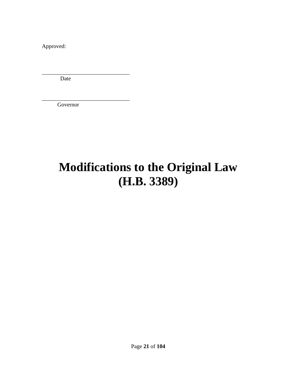Approved:

Date

\_\_\_\_\_\_\_\_\_\_\_\_\_\_\_\_\_\_\_\_\_\_\_\_\_\_\_\_\_\_\_

\_\_\_\_\_\_\_\_\_\_\_\_\_\_\_\_\_\_\_\_\_\_\_\_\_\_\_\_\_\_\_

Governor

### **Modifications to the Original Law (H.B. 3389)**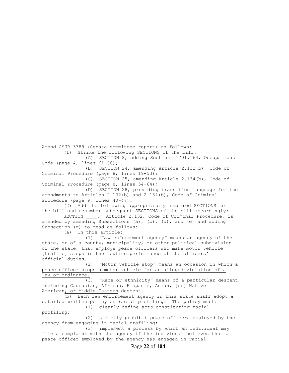Amend CSHB 3389 (Senate committee report) as follows: (1) Strike the following SECTIONS of the bill: (A) SECTION 8, adding Section 1701.164, Occupations Code (page  $4$ , lines  $61-66$ ); (B) SECTION 24, amending Article 2.132(b), Code of Criminal Procedure (page 8, lines 19-53); (C) SECTION 25, amending Article 2.134(b), Code of Criminal Procedure (page 8, lines 54-64); (D) SECTION 28, providing transition language for the amendments to Articles 2.132(b) and 2.134(b), Code of Criminal Procedure (page 9, lines 40-47). (2) Add the following appropriately numbered SECTIONS to the bill and renumber subsequent SECTIONS of the bill accordingly: SECTION \_\_\_\_. Article 2.132, Code of Criminal Procedure, is amended by amending Subsections (a), (b), (d), and (e) and adding Subsection (g) to read as follows: (a) In this article: (1) "Law enforcement agency" means an agency of the state, or of a county, municipality, or other political subdivision of the state, that employs peace officers who make motor vehicle [traffie] stops in the routine performance of the officers' official duties. (2) "Motor vehicle stop" means an occasion in which a peace officer stops a motor vehicle for an alleged violation of a law or ordinance. (3) "Race or ethnicity" means of a particular descent, including Caucasian, African, Hispanic, Asian, [or] Native American, or Middle Eastern descent. (b) Each law enforcement agency in this state shall adopt a detailed written policy on racial profiling. The policy must: (1) clearly define acts constituting racial profiling; (2) strictly prohibit peace officers employed by the agency from engaging in racial profiling;

(3) implement a process by which an individual may file a complaint with the agency if the individual believes that a peace officer employed by the agency has engaged in racial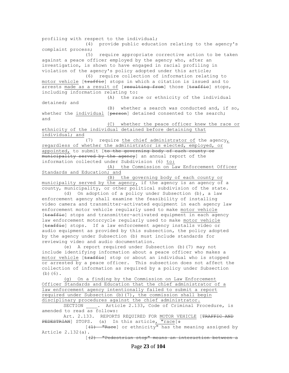profiling with respect to the individual; (4) provide public education relating to the agency's complaint process; (5) require appropriate corrective action to be taken against a peace officer employed by the agency who, after an investigation, is shown to have engaged in racial profiling in violation of the agency's policy adopted under this article; (6) require collection of information relating to motor vehicle [traffie] stops in which a citation is issued and to arrests made as a result of [resulting from] those [traffie] stops, including information relating to: (A) the race or ethnicity of the individual detained; and (B) whether a search was conducted and, if so, whether the individual [person] detained consented to the search; and (C) whether the peace officer knew the race or ethnicity of the individual detained before detaining that individual; and (7) require the chief administrator of the agency, regardless of whether the administrator is elected, employed, or appointed, to submit [to the governing body of each county or municipality served by the agency] an annual report of the information collected under Subdivision (6) to: (A) the Commission on Law Enforcement Officer Standards and Education; and (B) the governing body of each county or municipality served by the agency, if the agency is an agency of a county, municipality, or other political subdivision of the state. (d) On adoption of a policy under Subsection (b), a law enforcement agency shall examine the feasibility of installing video camera and transmitter-activated equipment in each agency law enforcement motor vehicle regularly used to make motor vehicle [traffie] stops and transmitter-activated equipment in each agency law enforcement motorcycle regularly used to make motor vehicle [traffie] stops. If a law enforcement agency installs video or audio equipment as provided by this subsection, the policy adopted by the agency under Subsection (b) must include standards for reviewing video and audio documentation. (e) A report required under Subsection (b)(7) may not include identifying information about a peace officer who makes a motor vehicle [traffie] stop or about an individual who is stopped or arrested by a peace officer. This subsection does not affect the collection of information as required by a policy under Subsection (b)(6). (g) On a finding by the Commission on Law Enforcement Officer Standards and Education that the chief administrator of a law enforcement agency intentionally failed to submit a report required under Subsection (b)(7), the commission shall begin disciplinary procedures against the chief administrator. SECTION . Article 2.133, Code of Criminal Procedure, is amended to read as follows: Art. 2.133. REPORTS REQUIRED FOR MOTOR VEHICLE [TRAFFIC AND PEDESTRIAN] STOPS. (a) In this article, "race[ $\div$ 

 $[$ (1) "Race] or ethnicity" has the meaning assigned by Article 2.132(a).

[(2) "Pedestrian stop" means an interaction between a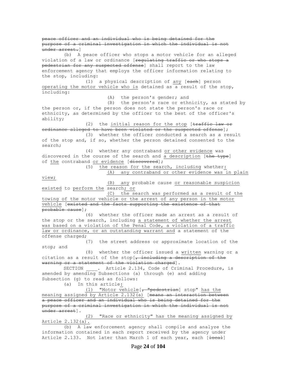peace officer and an individual who is being detained for the purpose of a criminal investigation in which the individual is not under arrest.] (b) A peace officer who stops a motor vehicle for an alleged violation of a law or ordinance [regulating traffic or who stops a pedestrian for any suspected offense] shall report to the law enforcement agency that employs the officer information relating to the stop, including: (1) a physical description of any [each] person operating the motor vehicle who is detained as a result of the stop, including: (A) the person's gender; and (B) the person's race or ethnicity, as stated by the person or, if the person does not state the person's race or ethnicity, as determined by the officer to the best of the officer's ability; (2) the initial reason for the stop [traffic law or ordinance alleged to have been violated or the suspected offense]; (3) whether the officer conducted a search as a result of the stop and, if so, whether the person detained consented to the search; (4) whether any contraband or other evidence was discovered in the course of the search and a description [the type] of the contraband or evidence [discovered]; (5) the reason for the search, including whether: (A) any contraband or other evidence was in plain view; (B) any probable cause or reasonable suspicion existed to perform the search; or (C) the search was performed as a result of the towing of the motor vehicle or the arrest of any person in the motor vehicle [existed and the facts supporting the existence of that probable cause]; (6) whether the officer made an arrest as a result of the stop or the search, including a statement of whether the arrest was based on a violation of the Penal Code, a violation of a traffic law or ordinance, or an outstanding warrant and a statement of the offense charged; (7) the street address or approximate location of the stop; and (8) whether the officer issued a written warning or a citation as a result of the stop[ $\frac{1}{r}$  including a description of the warning or a statement of the violation charged]. SECTION \_\_\_\_. Article 2.134, Code of Criminal Procedure, is amended by amending Subsections (a) through (e) and adding Subsection (g) to read as follows: (a) In this article: (1) "Motor vehicle  $\left[\frac{1}{r}\right]$  wedestrian] stop" has the meaning assigned by Article 2.132(a) [means an interaction between a peace officer and an individual who is being detained for the purpose of a criminal investigation in which the individual is not under arrest]. (2) "Race or ethnicity" has the meaning assigned by Article  $2.132(a)$ . (b) A law enforcement agency shall compile and analyze the information contained in each report received by the agency under Article 2.133. Not later than March 1 of each year, each [<del>local</del>]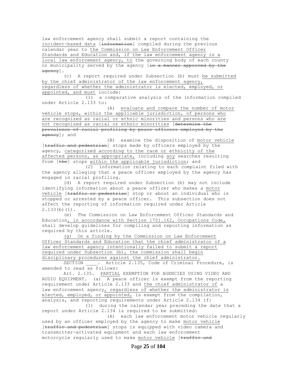law enforcement agency shall submit a report containing the incident-based data [information] compiled during the previous calendar year to the Commission on Law Enforcement Officer Standards and Education and, if the law enforcement agency is a local law enforcement agency, to the governing body of each county or municipality served by the agency [in a manner approved by the agency].

(c) A report required under Subsection (b) must be submitted by the chief administrator of the law enforcement agency, regardless of whether the administrator is elected, employed, or appointed, and must include:

(1) a comparative analysis of the information compiled under Article 2.133 to:

(A) evaluate and compare the number of motor vehicle stops, within the applicable jurisdiction, of persons who are recognized as racial or ethnic minorities and persons who are not recognized as racial or ethnic minorities [determine the prevalence of racial profiling by peace officers employed by the agency]; and

(B) examine the disposition of motor vehicle [traffic and pedestrian] stops made by officers employed by the agency, categorized according to the race or ethnicity of the affected persons, as appropriate, including any searches resulting from [the] stops within the applicable jurisdiction; and

(2) information relating to each complaint filed with the agency alleging that a peace officer employed by the agency has engaged in racial profiling.

(d) A report required under Subsection (b) may not include identifying information about a peace officer who makes a motor vehicle [traffic or pedestrian] stop or about an individual who is stopped or arrested by a peace officer. This subsection does not affect the reporting of information required under Article 2.133(b)(1).

(e) The Commission on Law Enforcement Officer Standards and Education, in accordance with Section 1701.162, Occupations Code, shall develop guidelines for compiling and reporting information as required by this article.

(g) On a finding by the Commission on Law Enforcement Officer Standards and Education that the chief administrator of a law enforcement agency intentionally failed to submit a report required under Subsection (b), the commission shall begin disciplinary procedures against the chief administrator.

SECTION . Article 2.135, Code of Criminal Procedure, is amended to read as follows:

Art. 2.135. PARTIAL EXEMPTION FOR AGENCIES USING VIDEO AND AUDIO EQUIPMENT. (a) A peace officer is exempt from the reporting requirement under Article 2.133 and the chief administrator of a law enforcement agency, regardless of whether the administrator is elected, employed, or appointed, is exempt from the compilation, analysis, and reporting requirements under Article 2.134 if:

(1) during the calendar year preceding the date that a report under Article 2.134 is required to be submitted:

(A) each law enforcement motor vehicle regularly used by an officer employed by the agency to make motor vehicle [traffic and pedestrian] stops is equipped with video camera and transmitter-activated equipment and each law enforcement motorcycle regularly used to make motor vehicle [traffic and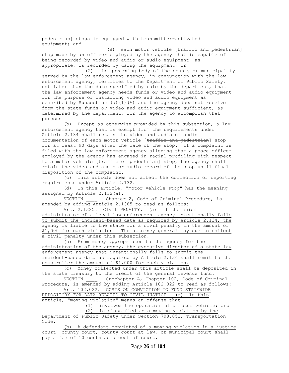pedestrian] stops is equipped with transmitter-activated equipment; and (B) each motor vehicle [traffic and pedestrian] stop made by an officer employed by the agency that is capable of being recorded by video and audio or audio equipment, as appropriate, is recorded by using the equipment; or (2) the governing body of the county or municipality served by the law enforcement agency, in conjunction with the law enforcement agency, certifies to the Department of Public Safety, not later than the date specified by rule by the department, that the law enforcement agency needs funds or video and audio equipment for the purpose of installing video and audio equipment as described by Subsection (a)(1)(A) and the agency does not receive from the state funds or video and audio equipment sufficient, as determined by the department, for the agency to accomplish that purpose. (b) Except as otherwise provided by this subsection, a law enforcement agency that is exempt from the requirements under Article 2.134 shall retain the video and audio or audio documentation of each motor vehicle [traffic and pedestrian] stop for at least 90 days after the date of the stop. If a complaint is filed with the law enforcement agency alleging that a peace officer employed by the agency has engaged in racial profiling with respect to a motor vehicle [traffic or pedestrian] stop, the agency shall retain the video and audio or audio record of the stop until final disposition of the complaint. (c) This article does not affect the collection or reporting requirements under Article 2.132. (d) In this article, "motor vehicle stop" has the meaning assigned by Article 2.132(a). SECTION . Chapter 2, Code of Criminal Procedure, is amended by adding Article 2.1385 to read as follows: Art. 2.1385. CIVIL PENALTY. (a) If the chief administrator of a local law enforcement agency intentionally fails to submit the incident-based data as required by Article 2.134, the agency is liable to the state for a civil penalty in the amount of \$1,000 for each violation. The attorney general may sue to collect a civil penalty under this subsection. (b) From money appropriated to the agency for the administration of the agency, the executive director of a state law enforcement agency that intentionally fails to submit the incident-based data as required by Article 2.134 shall remit to the comptroller the amount of \$1,000 for each violation. (c) Money collected under this article shall be deposited in the state treasury to the credit of the general revenue fund. SECTION \_\_\_\_. Subchapter A, Chapter 102, Code of Criminal Procedure, is amended by adding Article 102.022 to read as follows: Art. 102.022. COSTS ON CONVICTION TO FUND STATEWIDE REPOSITORY FOR DATA RELATED TO CIVIL JUSTICE. (a) In this article, "moving violation" means an offense that: (1) involves the operation of a motor vehicle; and (2) is classified as a moving violation by the Department of Public Safety under Section 708.052, Transportation Code.

(b) A defendant convicted of a moving violation in a justice court, county court, county court at law, or municipal court shall pay a fee of 10 cents as a cost of court.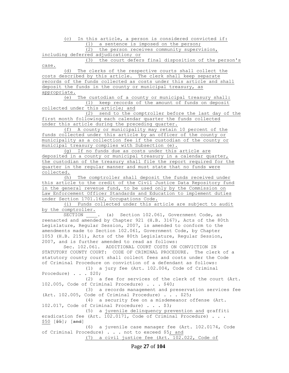(c) In this article, a person is considered convicted if: (1) a sentence is imposed on the person;

(2) the person receives community supervision,

including deferred adjudication; or

(3) the court defers final disposition of the person's case.

(d) The clerks of the respective courts shall collect the costs described by this article. The clerk shall keep separate records of the funds collected as costs under this article and shall deposit the funds in the county or municipal treasury, as appropriate.

(e) The custodian of a county or municipal treasury shall: (1) keep records of the amount of funds on deposit collected under this article; and

(2) send to the comptroller before the last day of the first month following each calendar quarter the funds collected under this article during the preceding quarter.

(f) A county or municipality may retain 10 percent of the funds collected under this article by an officer of the county or municipality as a collection fee if the custodian of the county or municipal treasury complies with Subsection (e).

(g) If no funds due as costs under this article are deposited in a county or municipal treasury in a calendar quarter, the custodian of the treasury shall file the report required for the quarter in the regular manner and must state that no funds were collected.

(h) The comptroller shall deposit the funds received under this article to the credit of the Civil Justice Data Repository fund in the general revenue fund, to be used only by the Commission on Law Enforcement Officer Standards and Education to implement duties under Section 1701.162, Occupations Code.

(i) Funds collected under this article are subject to audit by the comptroller.

SECTION . (a) Section 102.061, Government Code, as reenacted and amended by Chapter 921 (H.B. 3167), Acts of the 80th Legislature, Regular Session, 2007, is amended to conform to the amendments made to Section 102.061, Government Code, by Chapter 1053 (H.B. 2151), Acts of the 80th Legislature, Regular Session, 2007, and is further amended to read as follows:

Sec. 102.061. ADDITIONAL COURT COSTS ON CONVICTION IN STATUTORY COUNTY COURT: CODE OF CRIMINAL PROCEDURE. The clerk of a statutory county court shall collect fees and costs under the Code of Criminal Procedure on conviction of a defendant as follows:

(1) a jury fee (Art. 102.004, Code of Criminal Procedure) . . . \$20;

(2) a fee for services of the clerk of the court (Art. 102.005, Code of Criminal Procedure) . . . \$40;

(3) a records management and preservation services fee (Art. 102.005, Code of Criminal Procedure) . . . \$25;

(4) a security fee on a misdemeanor offense (Art. 102.017, Code of Criminal Procedure) . . . \$3;

(5) a juvenile delinquency prevention and graffiti eradication fee (Art. 102.0171, Code of Criminal Procedure) . . .  $$50 [$  $$5]$ ;  $[$ and]

(6) a juvenile case manager fee (Art. 102.0174, Code of Criminal Procedure) . . . not to exceed \$5; and (7) a civil justice fee (Art. 102.022, Code of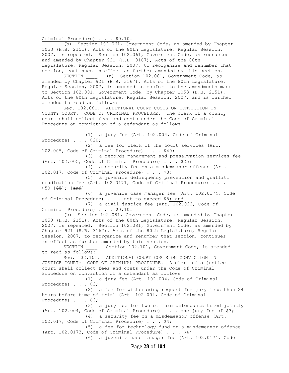Criminal Procedure) . . . \$0.10.

(b) Section 102.061, Government Code, as amended by Chapter 1053 (H.B. 2151), Acts of the 80th Legislature, Regular Session, 2007, is repealed. Section 102.061, Government Code, as reenacted and amended by Chapter 921 (H.B. 3167), Acts of the 80th Legislature, Regular Session, 2007, to reorganize and renumber that section, continues in effect as further amended by this section.

SECTION \_\_\_\_. (a) Section 102.081, Government Code, as amended by Chapter 921 (H.B. 3167), Acts of the 80th Legislature, Regular Session, 2007, is amended to conform to the amendments made to Section 102.081, Government Code, by Chapter 1053 (H.B. 2151), Acts of the 80th Legislature, Regular Session, 2007, and is further amended to read as follows:

Sec. 102.081. ADDITIONAL COURT COSTS ON CONVICTION IN COUNTY COURT: CODE OF CRIMINAL PROCEDURE. The clerk of a county court shall collect fees and costs under the Code of Criminal Procedure on conviction of a defendant as follows:

(1) a jury fee (Art. 102.004, Code of Criminal Procedure) . . . \$20; (2) a fee for clerk of the court services (Art. 102.005, Code of Criminal Procedure) . . . \$40; (3) a records management and preservation services fee (Art. 102.005, Code of Criminal Procedure) . . . \$25; (4) a security fee on a misdemeanor offense (Art. 102.017, Code of Criminal Procedure) . . . \$3; (5) a juvenile delinquency prevention and graffiti eradication fee (Art. 102.0171, Code of Criminal Procedure) . . . \$50 [\$5]; [and] (6) a juvenile case manager fee (Art. 102.0174, Code of Criminal Procedure) . . . not to exceed \$5; and (7) a civil justice fee (Art. 102.022, Code of Criminal Procedure) . . . \$0.10. (b) Section 102.081, Government Code, as amended by Chapter 1053 (H.B. 2151), Acts of the 80th Legislature, Regular Session, 2007, is repealed. Section 102.081, Government Code, as amended by Chapter 921 (H.B. 3167), Acts of the 80th Legislature, Regular Session, 2007, to reorganize and renumber that section, continues in effect as further amended by this section. SECTION \_\_\_\_. Section 102.101, Government Code, is amended to read as follows: Sec. 102.101. ADDITIONAL COURT COSTS ON CONVICTION IN JUSTICE COURT: CODE OF CRIMINAL PROCEDURE. A clerk of a justice court shall collect fees and costs under the Code of Criminal Procedure on conviction of a defendant as follows: (1) a jury fee (Art. 102.004, Code of Criminal Procedure) . . . \$3; (2) a fee for withdrawing request for jury less than 24 hours before time of trial (Art. 102.004, Code of Criminal Procedure) . . . \$3; (3) a jury fee for two or more defendants tried jointly (Art. 102.004, Code of Criminal Procedure) . . . one jury fee of \$3; (4) a security fee on a misdemeanor offense (Art. 102.017, Code of Criminal Procedure) . . . \$4; (5) a fee for technology fund on a misdemeanor offense (Art. 102.0173, Code of Criminal Procedure) . . . \$4; (6) a juvenile case manager fee (Art. 102.0174, Code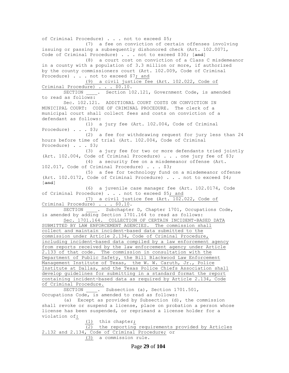of Criminal Procedure) . . . not to exceed \$5; (7) a fee on conviction of certain offenses involving issuing or passing a subsequently dishonored check (Art. 102.0071, Code of Criminal Procedure) . . . not to exceed \$30; [and] (8) a court cost on conviction of a Class C misdemeanor in a county with a population of 3.3 million or more, if authorized by the county commissioners court (Art. 102.009, Code of Criminal Procedure) . . . not to exceed \$7; and (9) a civil justice fee (Art. 102.022, Code of Criminal Procedure) . . . \$0.10. SECTION \_\_\_\_. Section 102.121, Government Code, is amended to read as follows: Sec. 102.121. ADDITIONAL COURT COSTS ON CONVICTION IN MUNICIPAL COURT: CODE OF CRIMINAL PROCEDURE. The clerk of a municipal court shall collect fees and costs on conviction of a defendant as follows: (1) a jury fee (Art. 102.004, Code of Criminal Procedure) . . . \$3; (2) a fee for withdrawing request for jury less than 24 hours before time of trial (Art. 102.004, Code of Criminal Procedure) . . . \$3; (3) a jury fee for two or more defendants tried jointly (Art. 102.004, Code of Criminal Procedure) . . . one jury fee of \$3; (4) a security fee on a misdemeanor offense (Art. 102.017, Code of Criminal Procedure) . . . \$3; (5) a fee for technology fund on a misdemeanor offense (Art. 102.0172, Code of Criminal Procedure) . . . not to exceed \$4; [and] (6) a juvenile case manager fee (Art. 102.0174, Code of Criminal Procedure) . . . not to exceed \$5; and (7) a civil justice fee (Art. 102.022, Code of Criminal Procedure) . . . \$0.10. SECTION . Subchapter D, Chapter 1701, Occupations Code, is amended by adding Section 1701.164 to read as follows: Sec. 1701.164. COLLECTION OF CERTAIN INCIDENT-BASED DATA SUBMITTED BY LAW ENFORCEMENT AGENCIES. The commission shall collect and maintain incident-based data submitted to the commission under Article 2.134, Code of Criminal Procedure, including incident-based data compiled by a law enforcement agency from reports received by the law enforcement agency under Article 2.133 of that code. The commission in consultation with the Department of Public Safety, the Bill Blackwood Law Enforcement Management Institute of Texas, the W. W. Caruth, Jr., Police Institute at Dallas, and the Texas Police Chiefs Association shall develop guidelines for submitting in a standard format the report containing incident-based data as required by Article 2.134, Code of Criminal Procedure. SECTION . Subsection (a), Section 1701.501, Occupations Code, is amended to read as follows: (a) Except as provided by Subsection (d), the commission shall revoke or suspend a license, place on probation a person whose license has been suspended, or reprimand a license holder for a violation of: (1) this chapter; (2) the reporting requirements provided by Articles 2.132 and 2.134, Code of Criminal Procedure; or (3) a commission rule.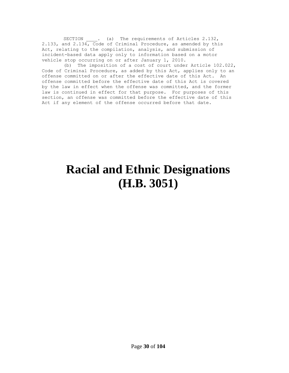SECTION . (a) The requirements of Articles 2.132, 2.133, and 2.134, Code of Criminal Procedure, as amended by this Act, relating to the compilation, analysis, and submission of incident-based data apply only to information based on a motor vehicle stop occurring on or after January 1, 2010.

(b) The imposition of a cost of court under Article 102.022, Code of Criminal Procedure, as added by this Act, applies only to an offense committed on or after the effective date of this Act. An offense committed before the effective date of this Act is covered by the law in effect when the offense was committed, and the former law is continued in effect for that purpose. For purposes of this section, an offense was committed before the effective date of this Act if any element of the offense occurred before that date.

### **Racial and Ethnic Designations (H.B. 3051)**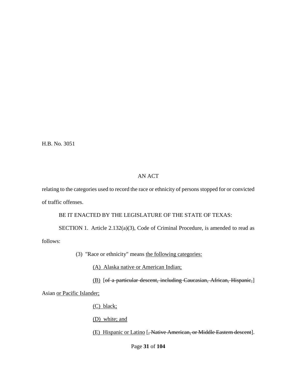H.B. No. 3051

#### AN ACT

relating to the categories used to record the race or ethnicity of persons stopped for or convicted of traffic offenses.

BE IT ENACTED BY THE LEGISLATURE OF THE STATE OF TEXAS:

SECTION 1. Article 2.132(a)(3), Code of Criminal Procedure, is amended to read as follows:

(3) "Race or ethnicity" means the following categories:

(A) Alaska native or American Indian;

(B) [of a particular descent, including Caucasian, African, Hispanic,]

Asian or Pacific Islander;

(C) black;

(D) white; and

(E) Hispanic or Latino [, Native American, or Middle Eastern descent].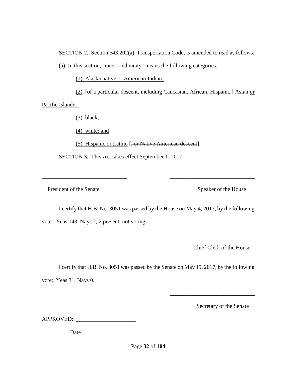SECTION 2. Section 543.202(a), Transportation Code, is amended to read as follows:

(a) In this section, "race or ethnicity" means the following categories:

(1) Alaska native or American Indian;

(2) [of a particular descent, including Caucasian, African, Hispanic,] Asian or Pacific Islander;

(3) black;

(4) white; and

(5) Hispanic or Latino [, or Native American descent].

SECTION 3. This Act takes effect September 1, 2017.

President of the Senate Speaker of the House

I certify that H.B. No. 3051 was passed by the House on May 4, 2017, by the following vote: Yeas 143, Nays 2, 2 present, not voting.

\_\_\_\_\_\_\_\_\_\_\_\_\_\_\_\_\_\_\_\_\_\_\_\_\_\_\_\_\_\_ \_\_\_\_\_\_\_\_\_\_\_\_\_\_\_\_\_\_\_\_\_\_\_\_\_\_\_\_\_\_

Chief Clerk of the House

\_\_\_\_\_\_\_\_\_\_\_\_\_\_\_\_\_\_\_\_\_\_\_\_\_\_\_\_\_\_

\_\_\_\_\_\_\_\_\_\_\_\_\_\_\_\_\_\_\_\_\_\_\_\_\_\_\_\_\_\_

I certify that H.B. No. 3051 was passed by the Senate on May 19, 2017, by the following vote: Yeas 31, Nays 0.

Secretary of the Senate

APPROVED:

Date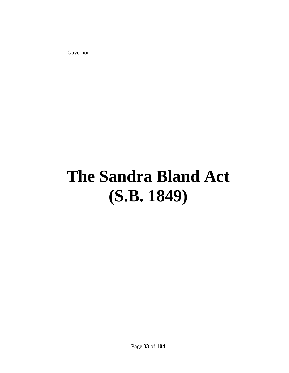Governor

 $\overline{\phantom{a}}$  , we can consider the constraint of  $\overline{\phantom{a}}$ 

## **The Sandra Bland Act (S.B. 1849)**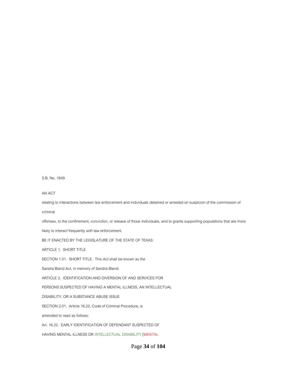#### Page **34** of **104**

relating to interactions between law enforcement and individuals detained or arrested on suspicion of the commission of

offenses, to the confinement, conviction, or release of those individuals, and to grants supporting populations that are more

Art. 16.22. EARLY IDENTIFICATION OF DEFENDANT SUSPECTED OF

SECTION 2.01. Article 16.22, Code of Criminal Procedure, is

HAVING MENTAL ILLNESS OR INTELLECTUAL DISABILITY [MENTAL

BE IT ENACTED BY THE LEGISLATURE OF THE STATE OF TEXAS:

ARTICLE 2. IDENTIFICATION AND DIVERSION OF AND SERVICES FOR

PERSONS SUSPECTED OF HAVING A MENTAL ILLNESS, AN INTELLECTUAL

Sandra Bland Act, in memory of Sandra Bland.

DISABILITY, OR A SUBSTANCE ABUSE ISSUE

SECTION 1.01. SHORT TITLE. This Act shall be known as the

ARTICLE 1. SHORT TITLE

amended to read as follows:

S.B. No. 1849

AN ACT

criminal

likely to interact frequently with law enforcement.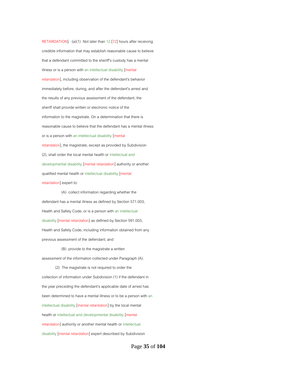RETARDATION]. (a)(1) Not later than 12 [72] hours after receiving credible information that may establish reasonable cause to believe that a defendant committed to the sheriff's custody has a mental illness or is a person with an intellectual disability [mental retardation], including observation of the defendant's behavior immediately before, during, and after the defendant's arrest and the results of any previous assessment of the defendant, the sheriff shall provide written or electronic notice of the information to the magistrate. On a determination that there is reasonable cause to believe that the defendant has a mental illness or is a person with an intellectual disability [mental retardation], the magistrate, except as provided by Subdivision (2), shall order the local mental health or intellectual and developmental disability [mental retardation] authority or another qualified mental health or intellectual disability [mental retardation] expert to:

 (A) collect information regarding whether the defendant has a mental illness as defined by Section 571.003, Health and Safety Code, or is a person with an intellectual disability [mental retardation] as defined by Section 591.003, Health and Safety Code, including information obtained from any previous assessment of the defendant; and

#### (B) provide to the magistrate a written

assessment of the information collected under Paragraph (A).

 (2) The magistrate is not required to order the collection of information under Subdivision (1) if the defendant in the year preceding the defendant's applicable date of arrest has been determined to have a mental illness or to be a person with an intellectual disability [mental retardation] by the local mental health or intellectual and developmental disability [mental retardation] authority or another mental health or intellectual disability [mental retardation] expert described by Subdivision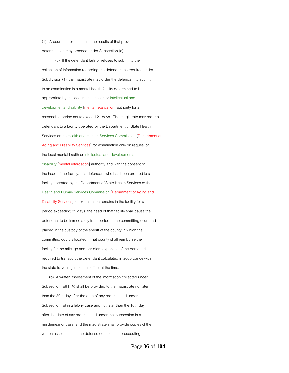(1). A court that elects to use the results of that previous determination may proceed under Subsection (c).

 (3) If the defendant fails or refuses to submit to the collection of information regarding the defendant as required under Subdivision (1), the magistrate may order the defendant to submit to an examination in a mental health facility determined to be appropriate by the local mental health or intellectual and developmental disability [mental retardation] authority for a reasonable period not to exceed 21 days. The magistrate may order a defendant to a facility operated by the Department of State Health Services or the Health and Human Services Commission [Department of Aging and Disability Services] for examination only on request of the local mental health or intellectual and developmental disability [mental retardation] authority and with the consent of the head of the facility. If a defendant who has been ordered to a facility operated by the Department of State Health Services or the Health and Human Services Commission [Department of Aging and Disability Services] for examination remains in the facility for a period exceeding 21 days, the head of that facility shall cause the defendant to be immediately transported to the committing court and placed in the custody of the sheriff of the county in which the committing court is located. That county shall reimburse the facility for the mileage and per diem expenses of the personnel required to transport the defendant calculated in accordance with the state travel regulations in effect at the time.

 (b) A written assessment of the information collected under Subsection (a)(1)(A) shall be provided to the magistrate not later than the 30th day after the date of any order issued under Subsection (a) in a felony case and not later than the 10th day after the date of any order issued under that subsection in a misdemeanor case, and the magistrate shall provide copies of the written assessment to the defense counsel, the prosecuting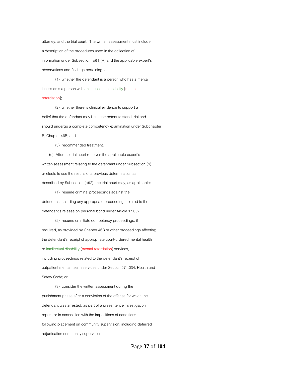attorney, and the trial court. The written assessment must include a description of the procedures used in the collection of information under Subsection (a)(1)(A) and the applicable expert's observations and findings pertaining to:

 (1) whether the defendant is a person who has a mental illness or is a person with an intellectual disability [mental retardation];

 (2) whether there is clinical evidence to support a belief that the defendant may be incompetent to stand trial and should undergo a complete competency examination under Subchapter B, Chapter 46B; and

(3) recommended treatment.

 (c) After the trial court receives the applicable expert's written assessment relating to the defendant under Subsection (b) or elects to use the results of a previous determination as described by Subsection (a)(2), the trial court may, as applicable:

 (1) resume criminal proceedings against the defendant, including any appropriate proceedings related to the defendant's release on personal bond under Article 17.032;

 (2) resume or initiate competency proceedings, if required, as provided by Chapter 46B or other proceedings affecting the defendant's receipt of appropriate court-ordered mental health or intellectual disability [mental retardation] services, including proceedings related to the defendant's receipt of outpatient mental health services under Section 574.034, Health and Safety Code; or

 (3) consider the written assessment during the punishment phase after a conviction of the offense for which the defendant was arrested, as part of a presentence investigation report, or in connection with the impositions of conditions following placement on community supervision, including deferred adjudication community supervision.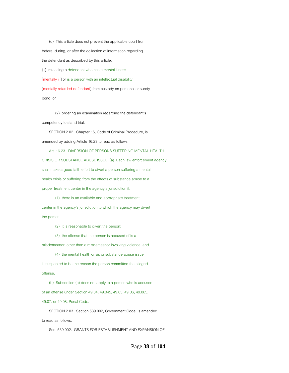(d) This article does not prevent the applicable court from, before, during, or after the collection of information regarding the defendant as described by this article: (1) releasing a defendant who has a mental illness

[mentally ill] or is a person with an intellectual disability [mentally retarded defendant] from custody on personal or surety

bond; or

 (2) ordering an examination regarding the defendant's competency to stand trial.

 SECTION 2.02. Chapter 16, Code of Criminal Procedure, is amended by adding Article 16.23 to read as follows:

 Art. 16.23. DIVERSION OF PERSONS SUFFERING MENTAL HEALTH CRISIS OR SUBSTANCE ABUSE ISSUE. (a) Each law enforcement agency shall make a good faith effort to divert a person suffering a mental health crisis or suffering from the effects of substance abuse to a proper treatment center in the agency's jurisdiction if:

 (1) there is an available and appropriate treatment center in the agency's jurisdiction to which the agency may divert the person;

(2) it is reasonable to divert the person;

(3) the offense that the person is accused of is a

misdemeanor, other than a misdemeanor involving violence; and

(4) the mental health crisis or substance abuse issue

is suspected to be the reason the person committed the alleged offense.

 (b) Subsection (a) does not apply to a person who is accused of an offense under Section 49.04, 49.045, 49.05, 49.06, 49.065, 49.07, or 49.08, Penal Code.

 SECTION 2.03. Section 539.002, Government Code, is amended to read as follows:

Sec. 539.002. GRANTS FOR ESTABLISHMENT AND EXPANSION OF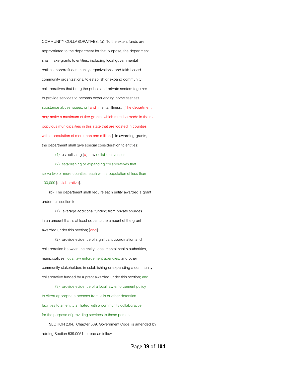COMMUNITY COLLABORATIVES. (a) To the extent funds are appropriated to the department for that purpose, the department shall make grants to entities, including local governmental entities, nonprofit community organizations, and faith-based community organizations, to establish or expand community collaboratives that bring the public and private sectors together to provide services to persons experiencing homelessness, substance abuse issues, or [and] mental illness. [The department may make a maximum of five grants, which must be made in the most populous municipalities in this state that are located in counties with a population of more than one million.] In awarding grants, the department shall give special consideration to entities:

(1) establishing [a] new collaboratives; or

(2) establishing or expanding collaboratives that

serve two or more counties, each with a population of less than 100,000 [collaborative].

 (b) The department shall require each entity awarded a grant under this section to:

 (1) leverage additional funding from private sources in an amount that is at least equal to the amount of the grant awarded under this section; [and]

 (2) provide evidence of significant coordination and collaboration between the entity, local mental health authorities, municipalities, local law enforcement agencies, and other community stakeholders in establishing or expanding a community collaborative funded by a grant awarded under this section; and

 (3) provide evidence of a local law enforcement policy to divert appropriate persons from jails or other detention facilities to an entity affiliated with a community collaborative for the purpose of providing services to those persons. SECTION 2.04. Chapter 539, Government Code, is amended by

adding Section 539.0051 to read as follows:

Page **39** of **104**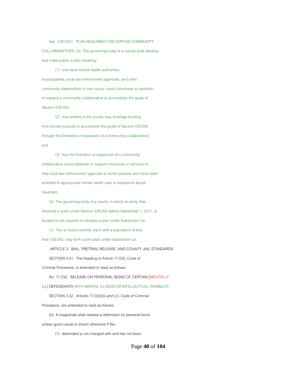Sec. 539.0051. PLAN REQUIRED FOR CERTAIN COMMUNITY COLLABORATIVES. (a) The governing body of a county shall develop and make public a plan detailing:

 (1) how local mental health authorities, municipalities, local law enforcement agencies, and other community stakeholders in the county could coordinate to establish or expand a community collaborative to accomplish the goals of Section 539.002;

 (2) how entities in the county may leverage funding from private sources to accomplish the goals of Section 539.002 through the formation or expansion of a community collaborative; and

 (3) how the formation or expansion of a community collaborative could establish or support resources or services to help local law enforcement agencies to divert persons who have been arrested to appropriate mental health care or substance abuse treatment.

 (b) The governing body of a county in which an entity that received a grant under Section 539.002 before September 1, 2017, is located is not required to develop a plan under Subsection (a).

(c) Two or more counties, each with a population of less

than 100,000, may form a joint plan under Subsection (a).

ARTICLE 3. BAIL, PRETRIAL RELEASE, AND COUNTY JAIL STANDARDS

SECTION 3.01. The heading to Article 17.032, Code of

Criminal Procedure, is amended to read as follows:

Art. 17.032. RELEASE ON PERSONAL BOND OF CERTAIN [MENTALLY

ILL] DEFENDANTS WITH MENTAL ILLNESS OR INTELLECTUAL DISABILITY.

SECTION 3.02. Articles 17.032(b) and (c), Code of Criminal

Procedure, are amended to read as follows:

(b) A magistrate shall release a defendant on personal bond

unless good cause is shown otherwise if the:

(1) defendant is not charged with and has not been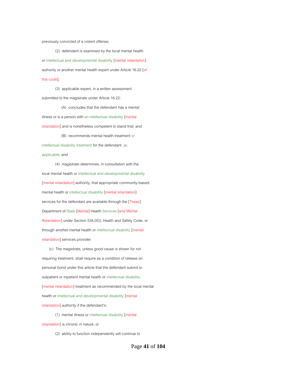previously convicted of a violent offense;

 (2) defendant is examined by the local mental health or intellectual and developmental disability [mental retardation] authority or another mental health expert under Article 16.22 [of this code];

 (3) applicable expert, in a written assessment submitted to the magistrate under Article 16.22:

 (A) concludes that the defendant has a mental illness or is a person with an intellectual disability [mental retardation] and is nonetheless competent to stand trial; and

 (B) recommends mental health treatment or intellectual disability treatment for the defendant, as applicable; and

 (4) magistrate determines, in consultation with the local mental health or intellectual and developmental disability [mental retardation] authority, that appropriate community-based mental health or intellectual disability [mental retardation] services for the defendant are available through the [Texas] Department of State [Mental] Health Services [and Mental Retardation] under Section 534.053, Health and Safety Code, or through another mental health or intellectual disability [mental retardation] services provider.

 (c) The magistrate, unless good cause is shown for not requiring treatment, shall require as a condition of release on personal bond under this article that the defendant submit to outpatient or inpatient mental health or intellectual disability [mental retardation] treatment as recommended by the local mental health or intellectual and developmental disability [mental retardation] authority if the defendant's:

(1) mental illness or intellectual disability [mental

retardation] is chronic in nature; or

(2) ability to function independently will continue to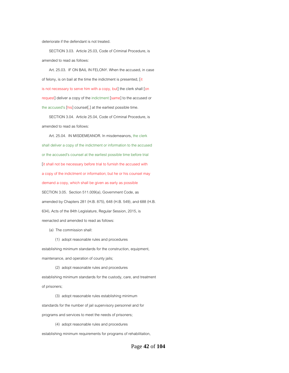deteriorate if the defendant is not treated.

 SECTION 3.03. Article 25.03, Code of Criminal Procedure, is amended to read as follows:

 Art. 25.03. IF ON BAIL IN FELONY. When the accused, in case of felony, is on bail at the time the indictment is presented, [it is not necessary to serve him with a copy, but] the clerk shall [on request] deliver a copy of the indictment [same] to the accused or the accused's [his] counsel[,] at the earliest possible time.

 SECTION 3.04. Article 25.04, Code of Criminal Procedure, is amended to read as follows:

 Art. 25.04. IN MISDEMEANOR. In misdemeanors, the clerk shall deliver a copy of the indictment or information to the accused or the accused's counsel at the earliest possible time before trial [it shall not be necessary before trial to furnish the accused with a copy of the indictment or information; but he or his counsel may demand a copy, which shall be given as early as possible SECTION 3.05. Section 511.009(a), Government Code, as amended by Chapters 281 (H.B. 875), 648 (H.B. 549), and 688 (H.B. 634), Acts of the 84th Legislature, Regular Session, 2015, is reenacted and amended to read as follows:

(a) The commission shall:

(1) adopt reasonable rules and procedures

establishing minimum standards for the construction, equipment, maintenance, and operation of county jails;

 (2) adopt reasonable rules and procedures establishing minimum standards for the custody, care, and treatment of prisoners;

 (3) adopt reasonable rules establishing minimum standards for the number of jail supervisory personnel and for programs and services to meet the needs of prisoners;

 (4) adopt reasonable rules and procedures establishing minimum requirements for programs of rehabilitation,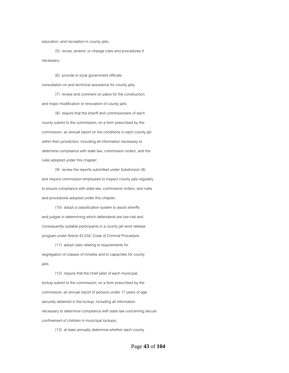education, and recreation in county jails;

 (5) revise, amend, or change rules and procedures if necessary;

 (6) provide to local government officials consultation on and technical assistance for county jails;

 (7) review and comment on plans for the construction and major modification or renovation of county jails;

 (8) require that the sheriff and commissioners of each county submit to the commission, on a form prescribed by the commission, an annual report on the conditions in each county jail within their jurisdiction, including all information necessary to determine compliance with state law, commission orders, and the rules adopted under this chapter;

 (9) review the reports submitted under Subdivision (8) and require commission employees to inspect county jails regularly to ensure compliance with state law, commission orders, and rules and procedures adopted under this chapter;

 (10) adopt a classification system to assist sheriffs and judges in determining which defendants are low-risk and consequently suitable participants in a county jail work release program under Article 42.034, Code of Criminal Procedure;

 (11) adopt rules relating to requirements for segregation of classes of inmates and to capacities for county jails;

 (12) require that the chief jailer of each municipal lockup submit to the commission, on a form prescribed by the commission, an annual report of persons under 17 years of age securely detained in the lockup, including all information necessary to determine compliance with state law concerning secure confinement of children in municipal lockups;

(13) at least annually determine whether each county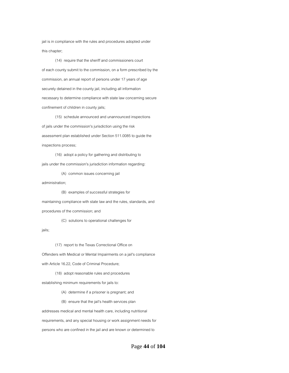jail is in compliance with the rules and procedures adopted under this chapter;

 (14) require that the sheriff and commissioners court of each county submit to the commission, on a form prescribed by the commission, an annual report of persons under 17 years of age securely detained in the county jail, including all information necessary to determine compliance with state law concerning secure confinement of children in county jails;

 (15) schedule announced and unannounced inspections of jails under the commission's jurisdiction using the risk assessment plan established under Section 511.0085 to guide the inspections process;

 (16) adopt a policy for gathering and distributing to jails under the commission's jurisdiction information regarding:

(A) common issues concerning jail

administration;

(B) examples of successful strategies for

maintaining compliance with state law and the rules, standards, and

procedures of the commission; and

(C) solutions to operational challenges for

jails;

(17) report to the Texas Correctional Office on

Offenders with Medical or Mental Impairments on a jail's compliance

with Article 16.22, Code of Criminal Procedure;

(18) adopt reasonable rules and procedures

establishing minimum requirements for jails to:

(A) determine if a prisoner is pregnant; and

(B) ensure that the jail's health services plan

addresses medical and mental health care, including nutritional

requirements, and any special housing or work assignment needs for

persons who are confined in the jail and are known or determined to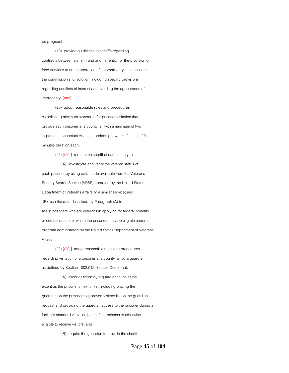be pregnant;

 (19) provide guidelines to sheriffs regarding contracts between a sheriff and another entity for the provision of food services to or the operation of a commissary in a jail under the commission's jurisdiction, including specific provisions regarding conflicts of interest and avoiding the appearance of impropriety; [and]

 (20) adopt reasonable rules and procedures establishing minimum standards for prisoner visitation that provide each prisoner at a county jail with a minimum of two in-person, noncontact visitation periods per week of at least 20 minutes duration each;

 $(21)$   $[(20)]$  require the sheriff of each county to:

 (A) investigate and verify the veteran status of each prisoner by using data made available from the Veterans Reentry Search Service (VRSS) operated by the United States Department of Veterans Affairs or a similar service; and (B) use the data described by Paragraph (A) to assist prisoners who are veterans in applying for federal benefits or compensation for which the prisoners may be eligible under a program administered by the United States Department of Veterans Affairs;

 (22) [(20)] adopt reasonable rules and procedures regarding visitation of a prisoner at a county jail by a guardian, as defined by Section 1002.012, Estates Code, that:

 (A) allow visitation by a guardian to the same extent as the prisoner's next of kin, including placing the guardian on the prisoner's approved visitors list on the guardian's request and providing the guardian access to the prisoner during a facility's standard visitation hours if the prisoner is otherwise eligible to receive visitors; and

(B) require the guardian to provide the sheriff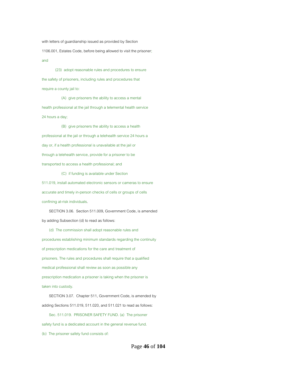with letters of guardianship issued as provided by Section 1106.001, Estates Code, before being allowed to visit the prisoner; and

 (23) adopt reasonable rules and procedures to ensure the safety of prisoners, including rules and procedures that require a county jail to:

 (A) give prisoners the ability to access a mental health professional at the jail through a telemental health service 24 hours a day;

 (B) give prisoners the ability to access a health professional at the jail or through a telehealth service 24 hours a day or, if a health professional is unavailable at the jail or through a telehealth service, provide for a prisoner to be transported to access a health professional; and

(C) if funding is available under Section

511.019, install automated electronic sensors or cameras to ensure accurate and timely in-person checks of cells or groups of cells confining at-risk individuals.

 SECTION 3.06. Section 511.009, Government Code, is amended by adding Subsection (d) to read as follows:

 (d) The commission shall adopt reasonable rules and procedures establishing minimum standards regarding the continuity of prescription medications for the care and treatment of prisoners. The rules and procedures shall require that a qualified medical professional shall review as soon as possible any prescription medication a prisoner is taking when the prisoner is taken into custody.

 SECTION 3.07. Chapter 511, Government Code, is amended by adding Sections 511.019, 511.020, and 511.021 to read as follows:

 Sec. 511.019. PRISONER SAFETY FUND. (a) The prisoner safety fund is a dedicated account in the general revenue fund. (b) The prisoner safety fund consists of: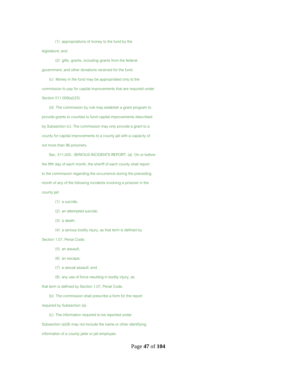(1) appropriations of money to the fund by the legislature; and

 (2) gifts, grants, including grants from the federal government, and other donations received for the fund.

 (c) Money in the fund may be appropriated only to the commission to pay for capital improvements that are required under Section 511.009(a)(23).

 (d) The commission by rule may establish a grant program to provide grants to counties to fund capital improvements described by Subsection (c). The commission may only provide a grant to a county for capital improvements to a county jail with a capacity of not more than 96 prisoners.

 Sec. 511.020. SERIOUS INCIDENTS REPORT. (a) On or before the fifth day of each month, the sheriff of each county shall report to the commission regarding the occurrence during the preceding month of any of the following incidents involving a prisoner in the county jail:

#### (1) a suicide;

#### (2) an attempted suicide;

- (3) a death;
- (4) a serious bodily injury, as that term is defined by

Section 1.07, Penal Code;

- (5) an assault;
- (6) an escape;
- (7) a sexual assault; and
- (8) any use of force resulting in bodily injury, as

that term is defined by Section 1.07, Penal Code.

(b) The commission shall prescribe a form for the report

required by Subsection (a).

(c) The information required to be reported under

Subsection (a)(8) may not include the name or other identifying

information of a county jailer or jail employee.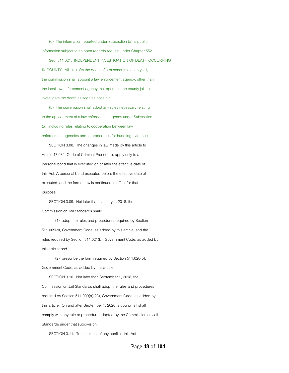(d) The information reported under Subsection (a) is public information subject to an open records request under Chapter 552.

 Sec. 511.021. INDEPENDENT INVESTIGATION OF DEATH OCCURRING IN COUNTY JAIL. (a) On the death of a prisoner in a county jail, the commission shall appoint a law enforcement agency, other than the local law enforcement agency that operates the county jail, to investigate the death as soon as possible.

 (b) The commission shall adopt any rules necessary relating to the appointment of a law enforcement agency under Subsection (a), including rules relating to cooperation between law enforcement agencies and to procedures for handling evidence.

 SECTION 3.08. The changes in law made by this article to Article 17.032, Code of Criminal Procedure, apply only to a personal bond that is executed on or after the effective date of this Act. A personal bond executed before the effective date of executed, and the former law is continued in effect for that purpose.

 SECTION 3.09. Not later than January 1, 2018, the Commission on Jail Standards shall:

 (1) adopt the rules and procedures required by Section 511.009(d), Government Code, as added by this article, and the rules required by Section 511.021(b), Government Code, as added by this article; and

 (2) prescribe the form required by Section 511.020(b), Government Code, as added by this article.

 SECTION 3.10. Not later than September 1, 2018, the Commission on Jail Standards shall adopt the rules and procedures required by Section 511.009(a)(23), Government Code, as added by this article. On and after September 1, 2020, a county jail shall comply with any rule or procedure adopted by the Commission on Jail Standards under that subdivision.

SECTION 3.11. To the extent of any conflict, this Act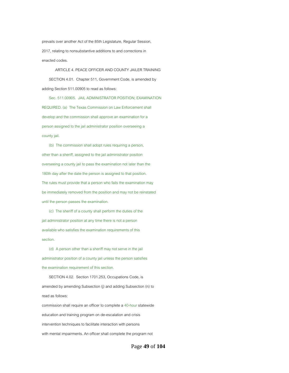prevails over another Act of the 85th Legislature, Regular Session, 2017, relating to nonsubstantive additions to and corrections in enacted codes.

 ARTICLE 4. PEACE OFFICER AND COUNTY JAILER TRAINING SECTION 4.01. Chapter 511, Government Code, is amended by adding Section 511.00905 to read as follows:

 Sec. 511.00905. JAIL ADMINISTRATOR POSITION; EXAMINATION REQUIRED. (a) The Texas Commission on Law Enforcement shall develop and the commission shall approve an examination for a person assigned to the jail administrator position overseeing a county jail.

 (b) The commission shall adopt rules requiring a person, other than a sheriff, assigned to the jail administrator position overseeing a county jail to pass the examination not later than the 180th day after the date the person is assigned to that position. The rules must provide that a person who fails the examination may be immediately removed from the position and may not be reinstated until the person passes the examination.

 (c) The sheriff of a county shall perform the duties of the jail administrator position at any time there is not a person available who satisfies the examination requirements of this section.

 (d) A person other than a sheriff may not serve in the jail administrator position of a county jail unless the person satisfies the examination requirement of this section.

 SECTION 4.02. Section 1701.253, Occupations Code, is amended by amending Subsection (j) and adding Subsection (n) to read as follows: commission shall require an officer to complete a 40-hour statewide education and training program on de-escalation and crisis intervention techniques to facilitate interaction with persons

with mental impairments. An officer shall complete the program not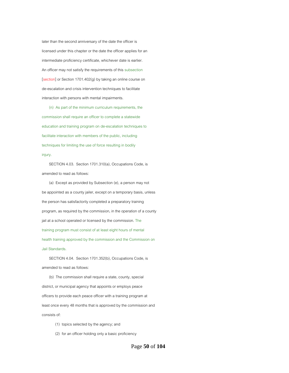later than the second anniversary of the date the officer is licensed under this chapter or the date the officer applies for an intermediate proficiency certificate, whichever date is earlier. An officer may not satisfy the requirements of this subsection [section] or Section 1701.402(g) by taking an online course on de-escalation and crisis intervention techniques to facilitate interaction with persons with mental impairments.

 (n) As part of the minimum curriculum requirements, the commission shall require an officer to complete a statewide education and training program on de-escalation techniques to facilitate interaction with members of the public, including techniques for limiting the use of force resulting in bodily injury.

 SECTION 4.03. Section 1701.310(a), Occupations Code, is amended to read as follows:

 (a) Except as provided by Subsection (e), a person may not be appointed as a county jailer, except on a temporary basis, unless the person has satisfactorily completed a preparatory training program, as required by the commission, in the operation of a county jail at a school operated or licensed by the commission. The training program must consist of at least eight hours of mental health training approved by the commission and the Commission on Jail Standards.

 SECTION 4.04. Section 1701.352(b), Occupations Code, is amended to read as follows:

 (b) The commission shall require a state, county, special district, or municipal agency that appoints or employs peace officers to provide each peace officer with a training program at least once every 48 months that is approved by the commission and consists of:

- (1) topics selected by the agency; and
- (2) for an officer holding only a basic proficiency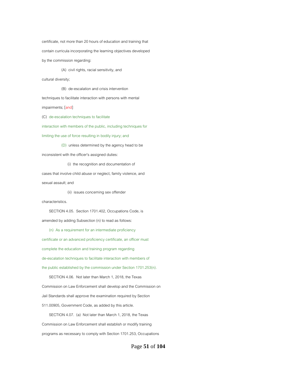certificate, not more than 20 hours of education and training that contain curricula incorporating the learning objectives developed by the commission regarding:

(A) civil rights, racial sensitivity, and

cultural diversity;

 (B) de-escalation and crisis intervention techniques to facilitate interaction with persons with mental impairments; [and] (C) de-escalation techniques to facilitate interaction with members of the public, including techniques for limiting the use of force resulting in bodily injury; and

 (D) unless determined by the agency head to be inconsistent with the officer's assigned duties:

 (i) the recognition and documentation of cases that involve child abuse or neglect, family violence, and sexual assault; and

(ii) issues concerning sex offender

characteristics.

 SECTION 4.05. Section 1701.402, Occupations Code, is amended by adding Subsection (n) to read as follows:

 (n) As a requirement for an intermediate proficiency certificate or an advanced proficiency certificate, an officer must complete the education and training program regarding de-escalation techniques to facilitate interaction with members of the public established by the commission under Section 1701.253(n).

 SECTION 4.06. Not later than March 1, 2018, the Texas Commission on Law Enforcement shall develop and the Commission on Jail Standards shall approve the examination required by Section 511.00905, Government Code, as added by this article.

 SECTION 4.07. (a) Not later than March 1, 2018, the Texas Commission on Law Enforcement shall establish or modify training programs as necessary to comply with Section 1701.253, Occupations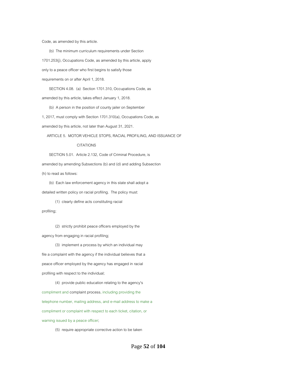Code, as amended by this article.

 (b) The minimum curriculum requirements under Section 1701.253(j), Occupations Code, as amended by this article, apply only to a peace officer who first begins to satisfy those requirements on or after April 1, 2018.

 SECTION 4.08. (a) Section 1701.310, Occupations Code, as amended by this article, takes effect January 1, 2018.

(b) A person in the position of county jailer on September

1, 2017, must comply with Section 1701.310(a), Occupations Code, as

amended by this article, not later than August 31, 2021.

ARTICLE 5. MOTOR VEHICLE STOPS, RACIAL PROFILING, AND ISSUANCE OF

#### CITATIONS

SECTION 5.01. Article 2.132, Code of Criminal Procedure, is

amended by amending Subsections (b) and (d) and adding Subsection

(h) to read as follows:

 (b) Each law enforcement agency in this state shall adopt a detailed written policy on racial profiling. The policy must:

(1) clearly define acts constituting racial

profiling;

 (2) strictly prohibit peace officers employed by the agency from engaging in racial profiling;

 (3) implement a process by which an individual may file a complaint with the agency if the individual believes that a peace officer employed by the agency has engaged in racial profiling with respect to the individual;

 (4) provide public education relating to the agency's compliment and complaint process, including providing the telephone number, mailing address, and e-mail address to make a compliment or complaint with respect to each ticket, citation, or warning issued by a peace officer;

(5) require appropriate corrective action to be taken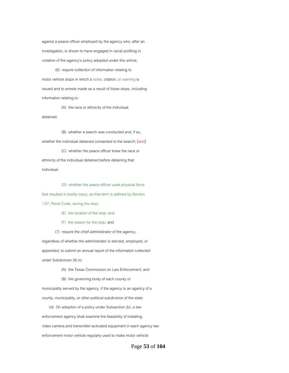against a peace officer employed by the agency who, after an investigation, is shown to have engaged in racial profiling in violation of the agency's policy adopted under this article;

 (6) require collection of information relating to motor vehicle stops in which a ticket, citation, or warning is issued and to arrests made as a result of those stops, including information relating to:

(A) the race or ethnicity of the individual

detained;

 (B) whether a search was conducted and, if so, whether the individual detained consented to the search; [and] (C) whether the peace officer knew the race or ethnicity of the individual detained before detaining that individual;

 (D) whether the peace officer used physical force that resulted in bodily injury, as that term is defined by Section 1.07, Penal Code, during the stop;

(E) the location of the stop; and

(F) the reason for the stop; and

(7) require the chief administrator of the agency,

regardless of whether the administrator is elected, employed, or appointed, to submit an annual report of the information collected under Subdivision (6) to:

(A) the Texas Commission on Law Enforcement; and

(B) the governing body of each county or

municipality served by the agency, if the agency is an agency of a county, municipality, or other political subdivision of the state.

 (d) On adoption of a policy under Subsection (b), a law enforcement agency shall examine the feasibility of installing video camera and transmitter-activated equipment in each agency law enforcement motor vehicle regularly used to make motor vehicle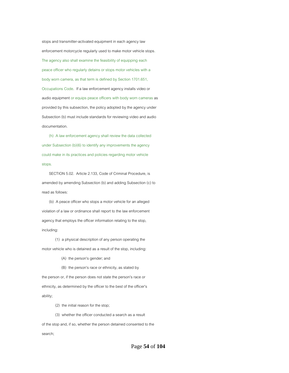stops and transmitter-activated equipment in each agency law enforcement motorcycle regularly used to make motor vehicle stops. The agency also shall examine the feasibility of equipping each peace officer who regularly detains or stops motor vehicles with a body worn camera, as that term is defined by Section 1701.651, Occupations Code. If a law enforcement agency installs video or audio equipment or equips peace officers with body worn cameras as provided by this subsection, the policy adopted by the agency under Subsection (b) must include standards for reviewing video and audio documentation.

 (h) A law enforcement agency shall review the data collected under Subsection (b)(6) to identify any improvements the agency could make in its practices and policies regarding motor vehicle stops.

 SECTION 5.02. Article 2.133, Code of Criminal Procedure, is amended by amending Subsection (b) and adding Subsection (c) to read as follows:

 (b) A peace officer who stops a motor vehicle for an alleged violation of a law or ordinance shall report to the law enforcement agency that employs the officer information relating to the stop, including:

 (1) a physical description of any person operating the motor vehicle who is detained as a result of the stop, including:

(A) the person's gender; and

(B) the person's race or ethnicity, as stated by

the person or, if the person does not state the person's race or ethnicity, as determined by the officer to the best of the officer's ability;

- (2) the initial reason for the stop;
- (3) whether the officer conducted a search as a result

of the stop and, if so, whether the person detained consented to the search;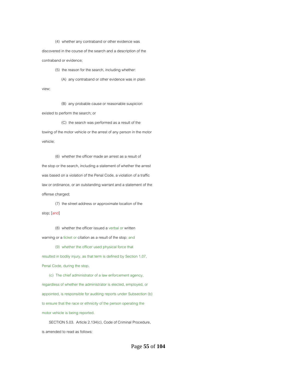(4) whether any contraband or other evidence was

discovered in the course of the search and a description of the contraband or evidence;

(5) the reason for the search, including whether:

(A) any contraband or other evidence was in plain

view;

 (B) any probable cause or reasonable suspicion existed to perform the search; or

 (C) the search was performed as a result of the towing of the motor vehicle or the arrest of any person in the motor vehicle;

 (6) whether the officer made an arrest as a result of the stop or the search, including a statement of whether the arrest was based on a violation of the Penal Code, a violation of a traffic law or ordinance, or an outstanding warrant and a statement of the offense charged;

 (7) the street address or approximate location of the stop; [and]

 (8) whether the officer issued a verbal or written warning or a ticket or citation as a result of the stop; and

 (9) whether the officer used physical force that resulted in bodily injury, as that term is defined by Section 1.07, Penal Code, during the stop.

 (c) The chief administrator of a law enforcement agency, regardless of whether the administrator is elected, employed, or appointed, is responsible for auditing reports under Subsection (b) to ensure that the race or ethnicity of the person operating the motor vehicle is being reported.

 SECTION 5.03. Article 2.134(c), Code of Criminal Procedure, is amended to read as follows: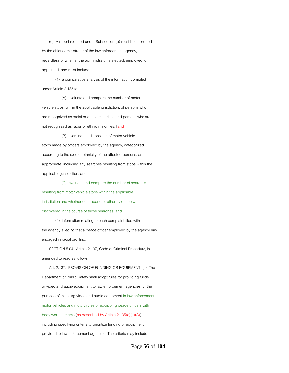(c) A report required under Subsection (b) must be submitted by the chief administrator of the law enforcement agency, regardless of whether the administrator is elected, employed, or appointed, and must include:

 (1) a comparative analysis of the information compiled under Article 2.133 to:

 (A) evaluate and compare the number of motor vehicle stops, within the applicable jurisdiction, of persons who are recognized as racial or ethnic minorities and persons who are not recognized as racial or ethnic minorities; [and]

 (B) examine the disposition of motor vehicle stops made by officers employed by the agency, categorized according to the race or ethnicity of the affected persons, as appropriate, including any searches resulting from stops within the applicable jurisdiction; and

 (C) evaluate and compare the number of searches resulting from motor vehicle stops within the applicable jurisdiction and whether contraband or other evidence was discovered in the course of those searches; and

 (2) information relating to each complaint filed with the agency alleging that a peace officer employed by the agency has engaged in racial profiling.

 SECTION 5.04. Article 2.137, Code of Criminal Procedure, is amended to read as follows:

 Art. 2.137. PROVISION OF FUNDING OR EQUIPMENT. (a) The Department of Public Safety shall adopt rules for providing funds or video and audio equipment to law enforcement agencies for the purpose of installing video and audio equipment in law enforcement motor vehicles and motorcycles or equipping peace officers with body worn cameras [as described by Article 2.135(a)(1)(A)], including specifying criteria to prioritize funding or equipment provided to law enforcement agencies. The criteria may include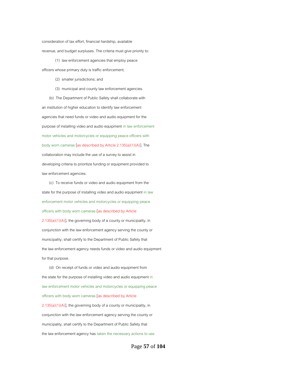consideration of tax effort, financial hardship, available revenue, and budget surpluses. The criteria must give priority to:

 (1) law enforcement agencies that employ peace officers whose primary duty is traffic enforcement;

(2) smaller jurisdictions; and

(3) municipal and county law enforcement agencies.

 (b) The Department of Public Safety shall collaborate with an institution of higher education to identify law enforcement agencies that need funds or video and audio equipment for the purpose of installing video and audio equipment in law enforcement motor vehicles and motorcycles or equipping peace officers with body worn cameras [as described by Article 2.135(a)(1)(A)]. The collaboration may include the use of a survey to assist in developing criteria to prioritize funding or equipment provided to law enforcement agencies.

 (c) To receive funds or video and audio equipment from the state for the purpose of installing video and audio equipment in law enforcement motor vehicles and motorcycles or equipping peace officers with body worn cameras [as described by Article  $2.135(a)(1)(A)$ ], the governing body of a county or municipality, in conjunction with the law enforcement agency serving the county or municipality, shall certify to the Department of Public Safety that the law enforcement agency needs funds or video and audio equipment for that purpose.

 (d) On receipt of funds or video and audio equipment from the state for the purpose of installing video and audio equipment in law enforcement motor vehicles and motorcycles or equipping peace officers with body worn cameras [as described by Article 2.135(a)(1)(A)], the governing body of a county or municipality, in conjunction with the law enforcement agency serving the county or municipality, shall certify to the Department of Public Safety that the law enforcement agency has taken the necessary actions to use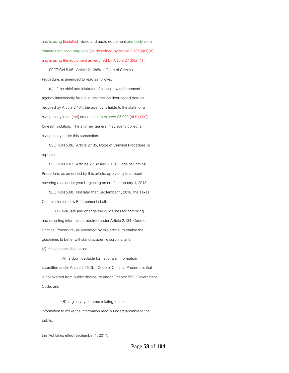and is using [installed] video and audio equipment and body worn cameras for those purposes [as described by Article 2.135(a)(1)(A) and is using the equipment as required by Article 2.135(a)(1)].

 SECTION 5.05. Article 2.1385(a), Code of Criminal Procedure, is amended to read as follows:

 (a) If the chief administrator of a local law enforcement agency intentionally fails to submit the incident-based data as required by Article 2.134, the agency is liable to the state for a civil penalty in an [the] amount not to exceed \$5,000 [of \$1,000] for each violation. The attorney general may sue to collect a civil penalty under this subsection.

 SECTION 5.06. Article 2.135, Code of Criminal Procedure, is repealed.

 SECTION 5.07. Articles 2.132 and 2.134, Code of Criminal Procedure, as amended by this article, apply only to a report covering a calendar year beginning on or after January 1, 2018.

 SECTION 5.08. Not later than September 1, 2018, the Texas Commission on Law Enforcement shall:

 (1) evaluate and change the guidelines for compiling and reporting information required under Article 2.134, Code of Criminal Procedure, as amended by this article, to enable the guidelines to better withstand academic scrutiny; and (2) make accessible online:

 (A) a downloadable format of any information submitted under Article 2.134(b), Code of Criminal Procedure, that is not exempt from public disclosure under Chapter 552, Government Code; and

 (B) a glossary of terms relating to the information to make the information readily understandable to the public.

this Act takes effect September 1, 2017.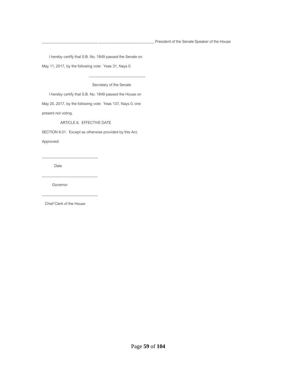I hereby certify that S.B. No. 1849 passed the Senate on

May 11, 2017, by the following vote: Yeas 31, Nays 0.

Secretary of the Senate

I hereby certify that S.B. No. 1849 passed the House on

 $\frac{1}{2}$  ,  $\frac{1}{2}$  ,  $\frac{1}{2}$  ,  $\frac{1}{2}$  ,  $\frac{1}{2}$  ,  $\frac{1}{2}$  ,  $\frac{1}{2}$  ,  $\frac{1}{2}$  ,  $\frac{1}{2}$  ,  $\frac{1}{2}$  ,  $\frac{1}{2}$  ,  $\frac{1}{2}$  ,  $\frac{1}{2}$  ,  $\frac{1}{2}$  ,  $\frac{1}{2}$  ,  $\frac{1}{2}$  ,  $\frac{1}{2}$  ,  $\frac{1}{2}$  ,  $\frac{1$ 

May 20, 2017, by the following vote: Yeas 137, Nays 0, one present not voting.

ARTICLE 6. EFFECTIVE DATE

SECTION 6.01. Except as otherwise provided by this Act,

Approved:

Date

\_\_\_\_\_\_\_\_\_\_\_\_\_\_\_\_\_\_\_\_\_\_\_\_\_\_\_\_\_\_

\_\_\_\_\_\_\_\_\_\_\_\_\_\_\_\_\_\_\_\_\_\_\_\_\_\_\_\_\_\_

\_\_\_\_\_\_\_\_\_\_\_\_\_\_\_\_\_\_\_\_\_\_\_\_\_\_\_\_\_\_

Governor

Chief Clerk of the House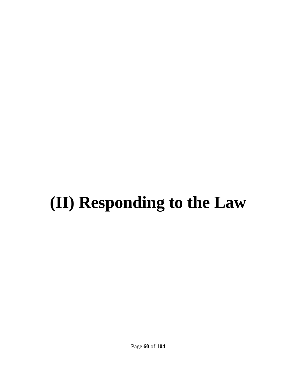# **(II) Responding to the Law**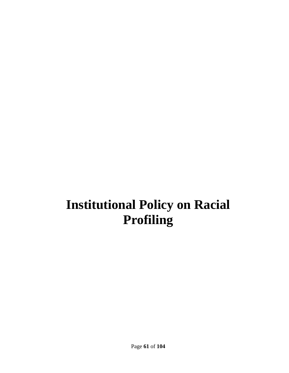# **Institutional Policy on Racial Profiling**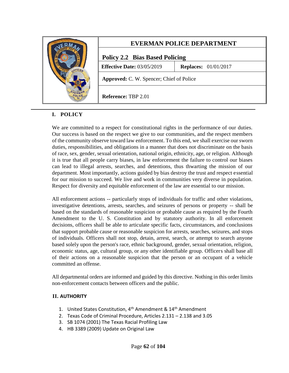

## **EVERMAN POLICE DEPARTMENT**

### **Policy 2.2 Bias Based Policing**

**Effective Date:** 03/05/2019 **Replaces:** 01/01/2017

**Approved:** C. W. Spencer; Chief of Police

**Reference:** TBP 2.01

#### **I. POLICY**

We are committed to a respect for constitutional rights in the performance of our duties. Our success is based on the respect we give to our communities, and the respect members of the community observe toward law enforcement. To this end, we shall exercise our sworn duties, responsibilities, and obligations in a manner that does not discriminate on the basis of race, sex, gender, sexual orientation, national origin, ethnicity, age, or religion. Although it is true that all people carry biases, in law enforcement the failure to control our biases can lead to illegal arrests, searches, and detentions, thus thwarting the mission of our department. Most importantly, actions guided by bias destroy the trust and respect essential for our mission to succeed. We live and work in communities very diverse in population. Respect for diversity and equitable enforcement of the law are essential to our mission.

All enforcement actions -- particularly stops of individuals for traffic and other violations, investigative detentions, arrests, searches, and seizures of persons or property -- shall be based on the standards of reasonable suspicion or probable cause as required by the Fourth Amendment to the U. S. Constitution and by statutory authority. In all enforcement decisions, officers shall be able to articulate specific facts, circumstances, and conclusions that support probable cause or reasonable suspicion for arrests, searches, seizures, and stops of individuals. Officers shall not stop, detain, arrest, search, or attempt to search anyone based solely upon the person's race, ethnic background, gender, sexual orientation, religion, economic status, age, cultural group, or any other identifiable group. Officers shall base all of their actions on a reasonable suspicion that the person or an occupant of a vehicle committed an offense.

All departmental orders are informed and guided by this directive. Nothing in this order limits non-enforcement contacts between officers and the public.

#### **II. AUTHORITY**

- 1. United States Constitution, 4<sup>th</sup> Amendment & 14<sup>th</sup> Amendment
- 2. Texas Code of Criminal Procedure, Articles 2.131 2.138 and 3.05
- 3. SB 1074 (2001) The Texas Racial Profiling Law
- 4. HB 3389 (2009) Update on Original Law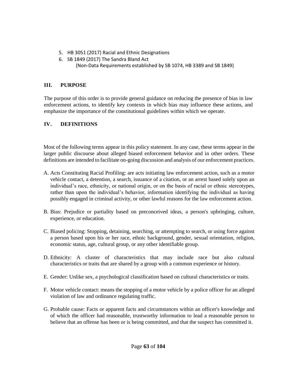- 5. HB 3051 (2017) Racial and Ethnic Designations
- 6. SB 1849 (2017) The Sandra Bland Act
	- (Non-Data Requirements established by SB 1074, HB 3389 and SB 1849)

#### **III. PURPOSE**

The purpose of this order is to provide general guidance on reducing the presence of bias in law enforcement actions, to identify key contexts in which bias may influence these actions, and emphasize the importance of the constitutional guidelines within which we operate.

### **IV. DEFINITIONS**

Most of the following terms appear in this policy statement. In any case, these terms appear in the larger public discourse about alleged biased enforcement behavior and in other orders. These definitions are intended to facilitate on-going discussion and analysis of our enforcement practices.

- A. Acts Constituting Racial Profiling: are acts initiating law enforcement action, such as a motor vehicle contact, a detention, a search, issuance of a citation, or an arrest based solely upon an individual's race, ethnicity, or national origin, or on the basis of racial or ethnic stereotypes, rather than upon the individual's behavior, information identifying the individual as having possibly engaged in criminal activity, or other lawful reasons for the law enforcement action.
- B. Bias: Prejudice or partiality based on preconceived ideas, a person's upbringing, culture, experience, or education.
- C. Biased policing: Stopping, detaining, searching, or attempting to search, or using force against a person based upon his or her race, ethnic background, gender, sexual orientation, religion, economic status, age, cultural group, or any other identifiable group.
- D. Ethnicity: A cluster of characteristics that may include race but also cultural characteristics or traits that are shared by a group with a common experience or history.
- E. Gender: Unlike sex, a psychological classification based on cultural characteristics or traits.
- F. Motor vehicle contact: means the stopping of a motor vehicle by a police officer for an alleged violation of law and ordinance regulating traffic.
- G. Probable cause: Facts or apparent facts and circumstances within an officer's knowledge and of which the officer had reasonable, trustworthy information to lead a reasonable person to believe that an offense has been or is being committed, and that the suspect has committed it.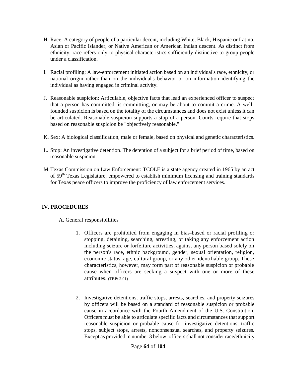- H. Race: A category of people of a particular decent, including White, Black, Hispanic or Latino, Asian or Pacific Islander, or Native American or American Indian descent. As distinct from ethnicity, race refers only to physical characteristics sufficiently distinctive to group people under a classification.
- I. Racial profiling: A law-enforcement initiated action based on an individual's race, ethnicity, or national origin rather than on the individual's behavior or on information identifying the individual as having engaged in criminal activity.
- J. Reasonable suspicion: Articulable, objective facts that lead an experienced officer to suspect that a person has committed, is committing, or may be about to commit a crime. A wellfounded suspicion is based on the totality of the circumstances and does not exist unless it can be articulated. Reasonable suspicion supports a stop of a person. Courts require that stops based on reasonable suspicion be "objectively reasonable."
- K. Sex: A biological classification, male or female, based on physical and genetic characteristics.
- L. Stop: An investigative detention. The detention of a subject for a brief period of time, based on reasonable suspicion.
- M.Texas Commission on Law Enforcement: TCOLE is a state agency created in 1965 by an act of 59th Texas Legislature, empowered to establish minimum licensing and training standards for Texas peace officers to improve the proficiency of law enforcement services.

#### **IV. PROCEDURES**

A. General responsibilities

- 1. Officers are prohibited from engaging in bias-based or racial profiling or stopping, detaining, searching, arresting, or taking any enforcement action including seizure or forfeiture activities, against any person based solely on the person's race, ethnic background, gender, sexual orientation, religion, economic status, age, cultural group, or any other identifiable group. These characteristics, however, may form part of reasonable suspicion or probable cause when officers are seeking a suspect with one or more of these attributes. (TBP: 2.01)
- 2. Investigative detentions, traffic stops, arrests, searches, and property seizures by officers will be based on a standard of reasonable suspicion or probable cause in accordance with the Fourth Amendment of the U.S. Constitution. Officers must be able to articulate specific facts and circumstances that support reasonable suspicion or probable cause for investigative detentions, traffic stops, subject stops, arrests, nonconsensual searches, and property seizures. Except as provided in number 3 below, officers shall not consider race/ethnicity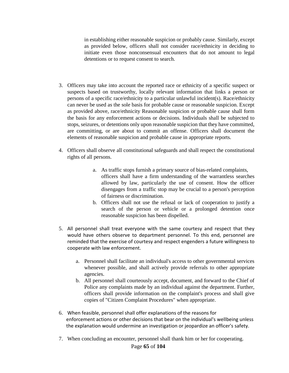in establishing either reasonable suspicion or probably cause. Similarly, except as provided below, officers shall not consider race/ethnicity in deciding to initiate even those nonconsensual encounters that do not amount to legal detentions or to request consent to search.

- 3. Officers may take into account the reported race or ethnicity of a specific suspect or suspects based on trustworthy, locally relevant information that links a person or persons of a specific race/ethnicity to a particular unlawful incident(s). Race/ethnicity can never be used as the sole basis for probable cause or reasonable suspicion. Except as provided above, race/ethnicity Reasonable suspicion or probable cause shall form the basis for any enforcement actions or decisions. Individuals shall be subjected to stops, seizures, or detentions only upon reasonable suspicion that they have committed, are committing, or are about to commit an offense. Officers shall document the elements of reasonable suspicion and probable cause in appropriate reports.
- 4. Officers shall observe all constitutional safeguards and shall respect the constitutional rights of all persons.
	- a. As traffic stops furnish a primary source of bias-related complaints, officers shall have a firm understanding of the warrantless searches allowed by law, particularly the use of consent. How the officer disengages from a traffic stop may be crucial to a person's perception of fairness or discrimination.
	- b. Officers shall not use the refusal or lack of cooperation to justify a search of the person or vehicle or a prolonged detention once reasonable suspicion has been dispelled.
- 5. All personnel shall treat everyone with the same courtesy and respect that they would have others observe to department personnel. To this end, personnel are reminded that the exercise of courtesy and respect engenders a future willingness to cooperate with law enforcement.
	- a. Personnel shall facilitate an individual's access to other governmental services whenever possible, and shall actively provide referrals to other appropriate agencies.
	- b. All personnel shall courteously accept, document, and forward to the Chief of Police any complaints made by an individual against the department. Further, officers shall provide information on the complaint's process and shall give copies of "Citizen Complaint Procedures" when appropriate.
- 6. When feasible, personnel shall offer explanations of the reasons for enforcement actions or other decisions that bear on the individual's wellbeing unless the explanation would undermine an investigation or jeopardize an officer's safety.
- 7. When concluding an encounter, personnel shall thank him or her for cooperating.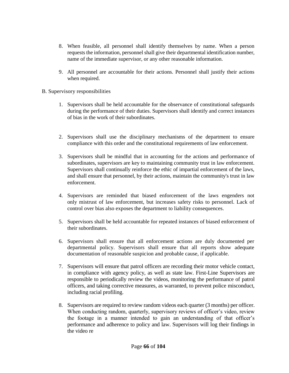- 8. When feasible, all personnel shall identify themselves by name. When a person requests the information, personnel shall give their departmental identification number, name of the immediate supervisor, or any other reasonable information.
- 9. All personnel are accountable for their actions. Personnel shall justify their actions when required.
- B. Supervisory responsibilities
	- 1. Supervisors shall be held accountable for the observance of constitutional safeguards during the performance of their duties. Supervisors shall identify and correct instances of bias in the work of their subordinates.
	- 2. Supervisors shall use the disciplinary mechanisms of the department to ensure compliance with this order and the constitutional requirements of law enforcement.
	- 3. Supervisors shall be mindful that in accounting for the actions and performance of subordinates, supervisors are key to maintaining community trust in law enforcement. Supervisors shall continually reinforce the ethic of impartial enforcement of the laws, and shall ensure that personnel, by their actions, maintain the community's trust in law enforcement.
	- 4. Supervisors are reminded that biased enforcement of the laws engenders not only mistrust of law enforcement, but increases safety risks to personnel. Lack of control over bias also exposes the department to liability consequences.
	- 5. Supervisors shall be held accountable for repeated instances of biased enforcement of their subordinates.
	- 6. Supervisors shall ensure that all enforcement actions are duly documented per departmental policy. Supervisors shall ensure that all reports show adequate documentation of reasonable suspicion and probable cause, if applicable.
	- 7. Supervisors will ensure that patrol officers are recording their motor vehicle contact, in compliance with agency policy, as well as state law. First-Line Supervisors are responsible to periodically review the videos, monitoring the performance of patrol officers, and taking corrective measures, as warranted, to prevent police misconduct, including racial profiling.
	- 8. Supervisors are required to review random videos each quarter (3 months) per officer. When conducting random, quarterly, supervisory reviews of officer's video, review the footage in a manner intended to gain an understanding of that officer's performance and adherence to policy and law. Supervisors will log their findings in the video re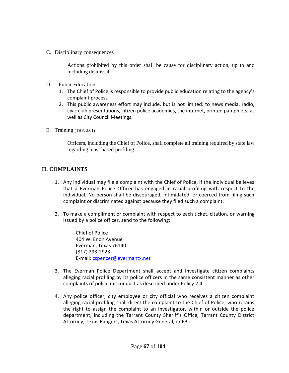C. Disciplinary consequences

Actions prohibited by this order shall be cause for disciplinary action, up to and including dismissal.

- D. Public Education.
	- 1. The Chief of Police is responsible to provide public education relating to the agency's complaint process.
	- 2. This public awareness effort may include, but is not limited: to news media, radio, civic club presentations, citizen police academies, the internet, printed pamphlets, as well as City Council Meetings.
- E. Training (TBP: 2.01)

Officers, including the Chief of Police, shall complete all training required by state law regarding bias- based profiling.

#### **II. COMPLAINTS**

- 1. Any individual may file a complaint with the Chief of Police, if the individual believes that a Everman Police Officer has engaged in racial profiling with respect to the individual. No person shall be discouraged, intimidated, or coerced from filing such complaint or discriminated against because they filed such a complaint.
- 2. To make a compliment or complaint with respect to each ticket, citation, or warning issued by a police officer, send to the following:

Chief of Police 404 W. Enon Avenue Everman, Texas 76140 (817) 293-2923 E-mail: [cspencer@evermantx.net](mailto:cspencer@evermantx.net)

- 3. The Everman Police Department shall accept and investigate citizen complaints alleging racial profiling by its police officers in the same consistent manner as other complaints of police misconduct as described under Policy 2.4.
- 4. Any police officer, city employee or city official who receives a citizen complaint alleging racial profiling shall direct the complaint to the Chief of Police, who retains the right to assign the complaint to an investigator, within or outside the police department, including the Tarrant County Sheriff's Office, Tarrant County District Attorney, Texas Rangers, Texas Attorney General, or FBI.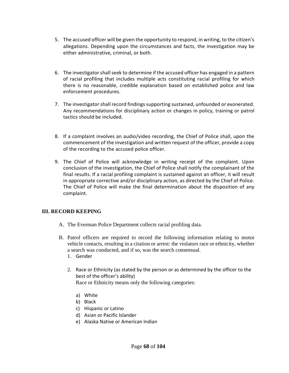- 5. The accused officer will be given the opportunity to respond, in writing, to the citizen's allegations. Depending upon the circumstances and facts, the investigation may be either administrative, criminal, or both.
- 6. The investigator shall seek to determine if the accused officer has engaged in a pattern of racial profiling that includes multiple acts constituting racial profiling for which there is no reasonable, credible explanation based on established police and law enforcement procedures.
- 7. The investigator shall record findings supporting sustained, unfounded or exonerated. Any recommendations for disciplinary action or changes in policy, training or patrol tactics should be included.
- 8. If a complaint involves an audio/video recording, the Chief of Police shall, upon the commencement of the investigation and written request of the officer, provide a copy of the recording to the accused police officer.
- 9. The Chief of Police will acknowledge in writing receipt of the complaint. Upon conclusion of the investigation, the Chief of Police shall notify the complainant of the final results. If a racial profiling complaint is sustained against an officer, it will result in appropriate corrective and/or disciplinary action, as directed by the Chief of Police. The Chief of Police will make the final determination about the disposition of any complaint.

#### **III. RECORD KEEPING**

- A. The Everman Police Department collects racial profiling data.
- B. Patrol officers are required to record the following information relating to motor vehicle contacts, resulting in a citation or arrest: the violators race or ethnicity, whether a search was conducted, and if so, was the search consensual.
	- 1. Gender
	- 2. Race or Ethnicity (as stated by the person or as determined by the officer to the best of the officer's ability) Race or Ethnicity means only the following categories:
		- a) White
		- b) Black
		- c) Hispanic or Latino
		- d) Asian or Pacific Islander
		- e) Alaska Native or American Indian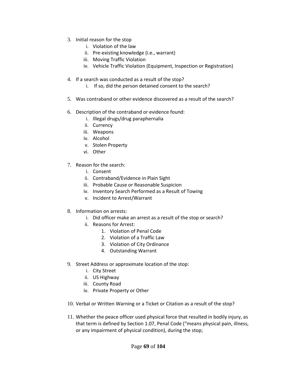- 3. Initial reason for the stop
	- i. Violation of the law
	- ii. Pre-existing knowledge (i.e., warrant)
	- iii. Moving Traffic Violation
	- iv. Vehicle Traffic Violation (Equipment, Inspection or Registration)
- 4. If a search was conducted as a result of the stop?
	- i. If so, did the person detained consent to the search?
- 5. Was contraband or other evidence discovered as a result of the search?
- 6. Description of the contraband or evidence found:
	- i. Illegal drugs/drug paraphernalia
	- ii. Currency
	- iii. Weapons
	- iv. Alcohol
	- v. Stolen Property
	- vi. Other
- 7. Reason for the search:
	- i. Consent
	- ii. Contraband/Evidence in Plain Sight
	- iii. Probable Cause or Reasonable Suspicion
	- iv. Inventory Search Performed as a Result of Towing
	- v. Incident to Arrest/Warrant
- 8. Information on arrests:
	- i. Did officer make an arrest as a result of the stop or search?
	- ii. Reasons for Arrest:
		- 1. Violation of Penal Code
		- 2. Violation of a Traffic Law
		- 3. Violation of City Ordinance
		- 4. Outstanding Warrant
- 9. Street Address or approximate location of the stop:
	- i. City Street
	- ii. US Highway
	- iii. County Road
	- iv. Private Property or Other
- 10. Verbal or Written Warning or a Ticket or Citation as a result of the stop?
- 11. Whether the peace officer used physical force that resulted in bodily injury, as that term is defined by Section 1.07, Penal Code ("means physical pain, illness, or any impairment of physical condition), during the stop;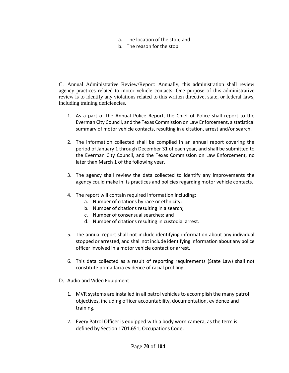- a. The location of the stop; and
- b. The reason for the stop

C. Annual Administrative Review/Report: Annually, this administration shall review agency practices related to motor vehicle contacts. One purpose of this administrative review is to identify any violations related to this written directive, state, or federal laws, including training deficiencies.

- 1. As a part of the Annual Police Report, the Chief of Police shall report to the Everman City Council, and the Texas Commission on Law Enforcement, a statistical summary of motor vehicle contacts, resulting in a citation, arrest and/or search.
- 2. The information collected shall be compiled in an annual report covering the period of January 1 through December 31 of each year, and shall be submitted to the Everman City Council, and the Texas Commission on Law Enforcement, no later than March 1 of the following year.
- 3. The agency shall review the data collected to identify any improvements the agency could make in its practices and policies regarding motor vehicle contacts.
- 4. The report will contain required information including:
	- a. Number of citations by race or ethnicity;
	- b. Number of citations resulting in a search;
	- c. Number of consensual searches; and
	- d. Number of citations resulting in custodial arrest.
- 5. The annual report shall not include identifying information about any individual stopped or arrested, and shall not include identifying information about any police officer involved in a motor vehicle contact or arrest.
- 6. This data collected as a result of reporting requirements (State Law) shall not constitute prima facia evidence of racial profiling.
- D. Audio and Video Equipment
	- 1. MVR systems are installed in all patrol vehicles to accomplish the many patrol objectives, including officer accountability, documentation, evidence and training.
	- 2. Every Patrol Officer is equipped with a body worn camera, as the term is defined by Section 1701.651, Occupations Code.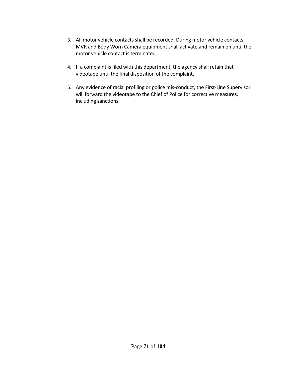- 3. All motor vehicle contacts shall be recorded. During motor vehicle contacts, MVR and Body Worn Camera equipment shall activate and remain on until the motor vehicle contact is terminated.
- 4. If a complaint is filed with this department, the agency shall retain that videotape until the final disposition of the complaint.
- 5. Any evidence of racial profiling or police mis-conduct, the First-Line Supervisor will forward the videotape to the Chief of Police for corrective measures, including sanctions.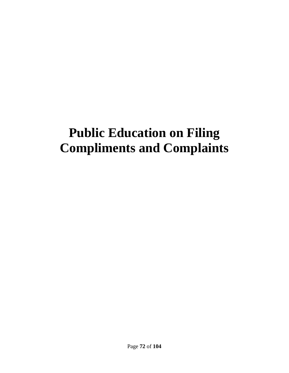# **Public Education on Filing Compliments and Complaints**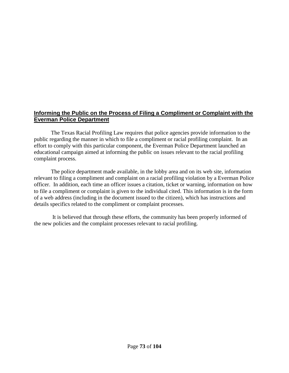### **Informing the Public on the Process of Filing a Compliment or Complaint with the Everman Police Department**

The Texas Racial Profiling Law requires that police agencies provide information to the public regarding the manner in which to file a compliment or racial profiling complaint. In an effort to comply with this particular component, the Everman Police Department launched an educational campaign aimed at informing the public on issues relevant to the racial profiling complaint process.

The police department made available, in the lobby area and on its web site, information relevant to filing a compliment and complaint on a racial profiling violation by a Everman Police officer. In addition, each time an officer issues a citation, ticket or warning, information on how to file a compliment or complaint is given to the individual cited. This information is in the form of a web address (including in the document issued to the citizen), which has instructions and details specifics related to the compliment or complaint processes.

It is believed that through these efforts, the community has been properly informed of the new policies and the complaint processes relevant to racial profiling.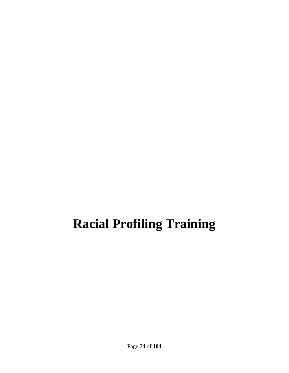## **Racial Profiling Training**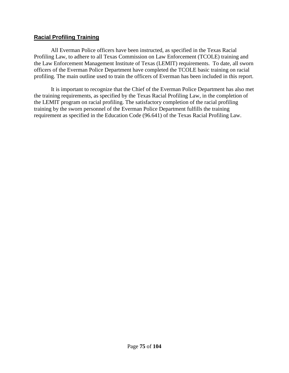### **Racial Profiling Training**

All Everman Police officers have been instructed, as specified in the Texas Racial Profiling Law, to adhere to all Texas Commission on Law Enforcement (TCOLE) training and the Law Enforcement Management Institute of Texas (LEMIT) requirements. To date, all sworn officers of the Everman Police Department have completed the TCOLE basic training on racial profiling. The main outline used to train the officers of Everman has been included in this report.

It is important to recognize that the Chief of the Everman Police Department has also met the training requirements, as specified by the Texas Racial Profiling Law, in the completion of the LEMIT program on racial profiling. The satisfactory completion of the racial profiling training by the sworn personnel of the Everman Police Department fulfills the training requirement as specified in the Education Code (96.641) of the Texas Racial Profiling Law.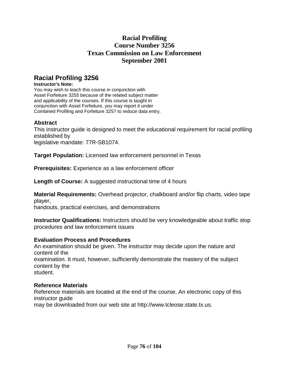## **Racial Profiling Course Number 3256 Texas Commission on Law Enforcement September 2001**

## **Racial Profiling 3256**

#### **Instructor's Note:**

You may wish to teach this course in conjunction with Asset Forfeiture 3255 because of the related subject matter and applicability of the courses. If this course is taught in conjunction with Asset Forfeiture, you may report it under Combined Profiling and Forfeiture 3257 to reduce data entry.

### **Abstract**

This instructor guide is designed to meet the educational requirement for racial profiling established by legislative mandate: 77R-SB1074.

**Target Population:** Licensed law enforcement personnel in Texas

**Prerequisites:** Experience as a law enforcement officer

**Length of Course:** A suggested instructional time of 4 hours

**Material Requirements:** Overhead projector, chalkboard and/or flip charts, video tape player,

handouts, practical exercises, and demonstrations

**Instructor Qualifications:** Instructors should be very knowledgeable about traffic stop procedures and law enforcement issues

### **Evaluation Process and Procedures**

An examination should be given. The instructor may decide upon the nature and content of the examination. It must, however, sufficiently demonstrate the mastery of the subject content by the student.

### **Reference Materials**

Reference materials are located at the end of the course. An electronic copy of this instructor guide

may be downloaded from our web site at http://www.tcleose.state.tx.us.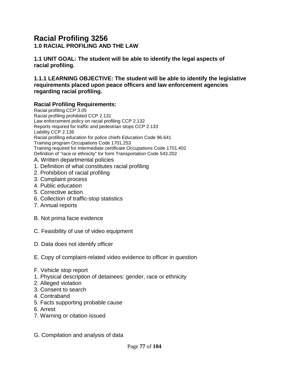## **Racial Profiling 3256**

**1.0 RACIAL PROFILING AND THE LAW**

**1.1 UNIT GOAL: The student will be able to identify the legal aspects of racial profiling.**

**1.1.1 LEARNING OBJECTIVE: The student will be able to identify the legislative requirements placed upon peace officers and law enforcement agencies regarding racial profiling.**

### **Racial Profiling Requirements:**

Racial profiling CCP 3.05 Racial profiling prohibited CCP 2.131 Law enforcement policy on racial profiling CCP 2.132 Reports required for traffic and pedestrian stops CCP 2.133 Liability CCP 2.136 Racial profiling education for police chiefs Education Code 96.641 Training program Occupations Code 1701.253 Training required for intermediate certificate Occupations Code 1701.402 Definition of "race or ethnicity" for form Transportation Code 543.202 A. Written departmental policies

- 1. Definition of what constitutes racial profiling
- 2. Prohibition of racial profiling
- 3. Complaint process
- 4. Public education
- 5. Corrective action
- 6. Collection of traffic-stop statistics
- 7. Annual reports
- B. Not prima facie evidence
- C. Feasibility of use of video equipment
- D. Data does not identify officer
- E. Copy of complaint-related video evidence to officer in question
- F. Vehicle stop report
- 1. Physical description of detainees: gender, race or ethnicity
- 2. Alleged violation
- 3. Consent to search
- 4. Contraband
- 5. Facts supporting probable cause
- 6. Arrest
- 7. Warning or citation issued
- G. Compilation and analysis of data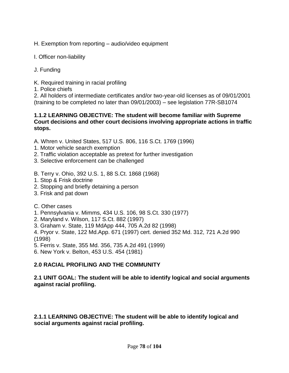H. Exemption from reporting – audio/video equipment

- I. Officer non-liability
- J. Funding

K. Required training in racial profiling

1. Police chiefs

2. All holders of intermediate certificates and/or two-year-old licenses as of 09/01/2001 (training to be completed no later than 09/01/2003) – see legislation 77R-SB1074

#### **1.1.2 LEARNING OBJECTIVE: The student will become familiar with Supreme Court decisions and other court decisions involving appropriate actions in traffic stops.**

- A. Whren v. United States, 517 U.S. 806, 116 S.Ct. 1769 (1996)
- 1. Motor vehicle search exemption
- 2. Traffic violation acceptable as pretext for further investigation
- 3. Selective enforcement can be challenged
- B. Terry v. Ohio, 392 U.S. 1, 88 S.Ct. 1868 (1968)
- 1. Stop & Frisk doctrine
- 2. Stopping and briefly detaining a person
- 3. Frisk and pat down
- C. Other cases
- 1. Pennsylvania v. Mimms, 434 U.S. 106, 98 S.Ct. 330 (1977)
- 2. Maryland v. Wilson, 117 S.Ct. 882 (1997)
- 3. Graham v. State, 119 MdApp 444, 705 A.2d 82 (1998)
- 4. Pryor v. State, 122 Md.App. 671 (1997) cert. denied 352 Md. 312, 721 A.2d 990 (1998)
- 5. Ferris v. State, 355 Md. 356, 735 A.2d 491 (1999)
- 6. New York v. Belton, 453 U.S. 454 (1981)

## **2.0 RACIAL PROFILING AND THE COMMUNITY**

### **2.1 UNIT GOAL: The student will be able to identify logical and social arguments against racial profiling.**

**2.1.1 LEARNING OBJECTIVE: The student will be able to identify logical and social arguments against racial profiling.**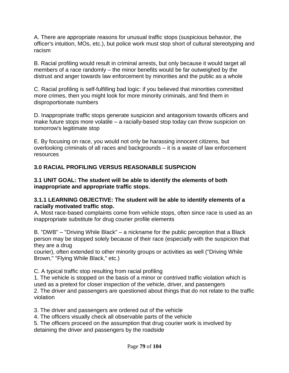A. There are appropriate reasons for unusual traffic stops (suspicious behavior, the officer's intuition, MOs, etc.), but police work must stop short of cultural stereotyping and racism

B. Racial profiling would result in criminal arrests, but only because it would target all members of a race randomly – the minor benefits would be far outweighed by the distrust and anger towards law enforcement by minorities and the public as a whole

C. Racial profiling is self-fulfilling bad logic: if you believed that minorities committed more crimes, then you might look for more minority criminals, and find them in disproportionate numbers

D. Inappropriate traffic stops generate suspicion and antagonism towards officers and make future stops more volatile – a racially-based stop today can throw suspicion on tomorrow's legitimate stop

E. By focusing on race, you would not only be harassing innocent citizens, but overlooking criminals of all races and backgrounds – it is a waste of law enforcement resources

## **3.0 RACIAL PROFILING VERSUS REASONABLE SUSPICION**

#### **3.1 UNIT GOAL: The student will be able to identify the elements of both inappropriate and appropriate traffic stops.**

### **3.1.1 LEARNING OBJECTIVE: The student will be able to identify elements of a racially motivated traffic stop.**

A. Most race-based complaints come from vehicle stops, often since race is used as an inappropriate substitute for drug courier profile elements

B. "DWB" – "Driving While Black" – a nickname for the public perception that a Black person may be stopped solely because of their race (especially with the suspicion that they are a drug

courier), often extended to other minority groups or activities as well ("Driving While Brown," "Flying While Black," etc.)

C. A typical traffic stop resulting from racial profiling

1. The vehicle is stopped on the basis of a minor or contrived traffic violation which is used as a pretext for closer inspection of the vehicle, driver, and passengers

2. The driver and passengers are questioned about things that do not relate to the traffic violation

3. The driver and passengers are ordered out of the vehicle

4. The officers visually check all observable parts of the vehicle

5. The officers proceed on the assumption that drug courier work is involved by detaining the driver and passengers by the roadside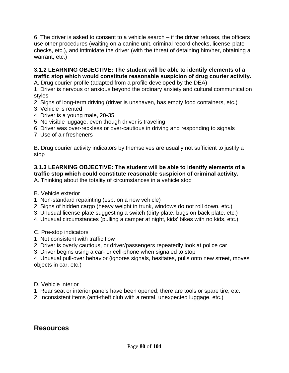6. The driver is asked to consent to a vehicle search – if the driver refuses, the officers use other procedures (waiting on a canine unit, criminal record checks, license-plate checks, etc.), and intimidate the driver (with the threat of detaining him/her, obtaining a warrant, etc.)

## **3.1.2 LEARNING OBJECTIVE: The student will be able to identify elements of a traffic stop which would constitute reasonable suspicion of drug courier activity.**

A. Drug courier profile (adapted from a profile developed by the DEA)

1. Driver is nervous or anxious beyond the ordinary anxiety and cultural communication styles

- 2. Signs of long-term driving (driver is unshaven, has empty food containers, etc.)
- 3. Vehicle is rented
- 4. Driver is a young male, 20-35
- 5. No visible luggage, even though driver is traveling
- 6. Driver was over-reckless or over-cautious in driving and responding to signals
- 7. Use of air fresheners

B. Drug courier activity indicators by themselves are usually not sufficient to justify a stop

## **3.1.3 LEARNING OBJECTIVE: The student will be able to identify elements of a traffic stop which could constitute reasonable suspicion of criminal activity.**

A. Thinking about the totality of circumstances in a vehicle stop

B. Vehicle exterior

- 1. Non-standard repainting (esp. on a new vehicle)
- 2. Signs of hidden cargo (heavy weight in trunk, windows do not roll down, etc.)
- 3. Unusual license plate suggesting a switch (dirty plate, bugs on back plate, etc.)
- 4. Unusual circumstances (pulling a camper at night, kids' bikes with no kids, etc.)
- C. Pre-stop indicators
- 1. Not consistent with traffic flow
- 2. Driver is overly cautious, or driver/passengers repeatedly look at police car
- 3. Driver begins using a car- or cell-phone when signaled to stop

4. Unusual pull-over behavior (ignores signals, hesitates, pulls onto new street, moves objects in car, etc.)

D. Vehicle interior

- 1. Rear seat or interior panels have been opened, there are tools or spare tire, etc.
- 2. Inconsistent items (anti-theft club with a rental, unexpected luggage, etc.)

## **Resources**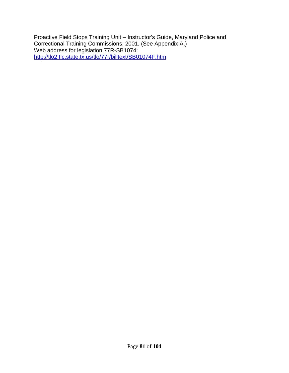Proactive Field Stops Training Unit – Instructor's Guide, Maryland Police and Correctional Training Commissions, 2001. (See Appendix A.) Web address for legislation 77R-SB1074: <http://tlo2.tlc.state.tx.us/tlo/77r/billtext/SB01074F.htm>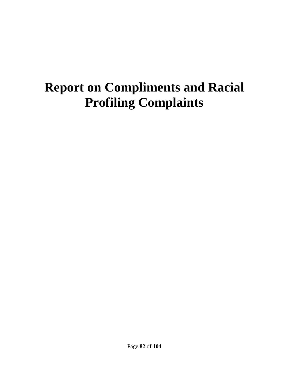## **Report on Compliments and Racial Profiling Complaints**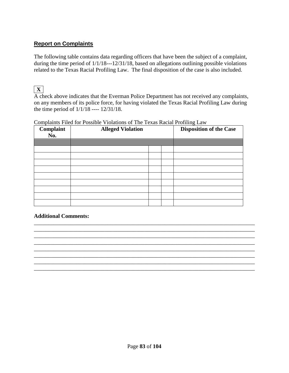## **Report on Complaints**

The following table contains data regarding officers that have been the subject of a complaint, during the time period of 1/1/18---12/31/18, based on allegations outlining possible violations related to the Texas Racial Profiling Law. The final disposition of the case is also included.

## **X**

A check above indicates that the Everman Police Department has not received any complaints, on any members of its police force, for having violated the Texas Racial Profiling Law during the time period of 1/1/18 ---- 12/31/18.

| Complaint<br>No. | <b>Alleged Violation</b> |  | <b>Disposition of the Case</b> |  |
|------------------|--------------------------|--|--------------------------------|--|
|                  |                          |  |                                |  |
|                  |                          |  |                                |  |
|                  |                          |  |                                |  |

Complaints Filed for Possible Violations of The Texas Racial Profiling Law

### **Additional Comments:**

\_\_\_\_\_\_\_\_\_\_\_\_\_\_\_\_\_\_\_\_\_\_\_\_\_\_\_\_\_\_\_\_\_\_\_\_\_\_\_\_\_\_\_\_\_\_\_\_\_\_\_\_\_\_\_\_\_\_\_\_\_\_\_\_\_\_\_\_\_\_\_\_\_\_\_\_\_\_ \_\_\_\_\_\_\_\_\_\_\_\_\_\_\_\_\_\_\_\_\_\_\_\_\_\_\_\_\_\_\_\_\_\_\_\_\_\_\_\_\_\_\_\_\_\_\_\_\_\_\_\_\_\_\_\_\_\_\_\_\_\_\_\_\_\_\_\_\_\_\_\_\_\_\_\_\_\_ \_\_\_\_\_\_\_\_\_\_\_\_\_\_\_\_\_\_\_\_\_\_\_\_\_\_\_\_\_\_\_\_\_\_\_\_\_\_\_\_\_\_\_\_\_\_\_\_\_\_\_\_\_\_\_\_\_\_\_\_\_\_\_\_\_\_\_\_\_\_\_\_\_\_\_\_\_\_ \_\_\_\_\_\_\_\_\_\_\_\_\_\_\_\_\_\_\_\_\_\_\_\_\_\_\_\_\_\_\_\_\_\_\_\_\_\_\_\_\_\_\_\_\_\_\_\_\_\_\_\_\_\_\_\_\_\_\_\_\_\_\_\_\_\_\_\_\_\_\_\_\_\_\_\_\_\_ \_\_\_\_\_\_\_\_\_\_\_\_\_\_\_\_\_\_\_\_\_\_\_\_\_\_\_\_\_\_\_\_\_\_\_\_\_\_\_\_\_\_\_\_\_\_\_\_\_\_\_\_\_\_\_\_\_\_\_\_\_\_\_\_\_\_\_\_\_\_\_\_\_\_\_\_\_\_ \_\_\_\_\_\_\_\_\_\_\_\_\_\_\_\_\_\_\_\_\_\_\_\_\_\_\_\_\_\_\_\_\_\_\_\_\_\_\_\_\_\_\_\_\_\_\_\_\_\_\_\_\_\_\_\_\_\_\_\_\_\_\_\_\_\_\_\_\_\_\_\_\_\_\_\_\_\_ \_\_\_\_\_\_\_\_\_\_\_\_\_\_\_\_\_\_\_\_\_\_\_\_\_\_\_\_\_\_\_\_\_\_\_\_\_\_\_\_\_\_\_\_\_\_\_\_\_\_\_\_\_\_\_\_\_\_\_\_\_\_\_\_\_\_\_\_\_\_\_\_\_\_\_\_\_\_ \_\_\_\_\_\_\_\_\_\_\_\_\_\_\_\_\_\_\_\_\_\_\_\_\_\_\_\_\_\_\_\_\_\_\_\_\_\_\_\_\_\_\_\_\_\_\_\_\_\_\_\_\_\_\_\_\_\_\_\_\_\_\_\_\_\_\_\_\_\_\_\_\_\_\_\_\_\_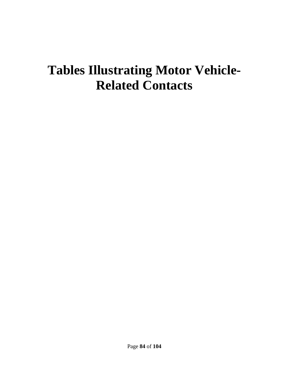## **Tables Illustrating Motor Vehicle-Related Contacts**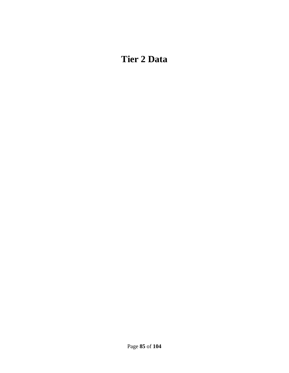## **Tier 2 Data**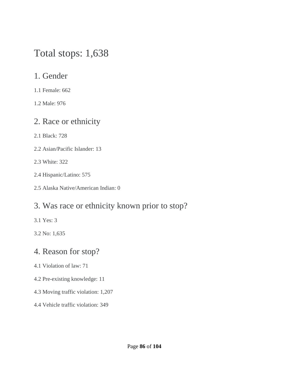## Total stops: 1,638

## 1. Gender

1.1 Female: 662

1.2 Male: 976

## 2. Race or ethnicity

2.1 Black: 728

- 2.2 Asian/Pacific Islander: 13
- 2.3 White: 322
- 2.4 Hispanic/Latino: 575
- 2.5 Alaska Native/American Indian: 0

## 3. Was race or ethnicity known prior to stop?

3.1 Yes: 3

3.2 No: 1,635

## 4. Reason for stop?

- 4.1 Violation of law: 71
- 4.2 Pre-existing knowledge: 11
- 4.3 Moving traffic violation: 1,207
- 4.4 Vehicle traffic violation: 349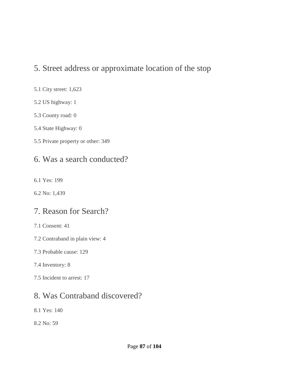## 5. Street address or approximate location of the stop

### 5.1 City street: 1,623

- 5.2 US highway: 1
- 5.3 County road: 0
- 5.4 State Highway: 0
- 5.5 Private property or other: 349

## 6. Was a search conducted?

- 6.1 Yes: 199
- 6.2 No: 1,439

## 7. Reason for Search?

- 7.1 Consent: 41
- 7.2 Contraband in plain view: 4
- 7.3 Probable cause: 129
- 7.4 Inventory: 8
- 7.5 Incident to arrest: 17

## 8. Was Contraband discovered?

- 8.1 Yes: 140
- 8.2 No: 59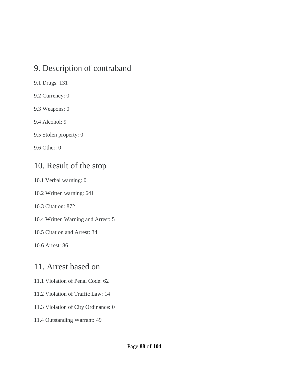## 9. Description of contraband

- 9.1 Drugs: 131
- 9.2 Currency: 0
- 9.3 Weapons: 0
- 9.4 Alcohol: 9
- 9.5 Stolen property: 0

9.6 Other: 0

## 10. Result of the stop

- 10.1 Verbal warning: 0
- 10.2 Written warning: 641
- 10.3 Citation: 872
- 10.4 Written Warning and Arrest: 5
- 10.5 Citation and Arrest: 34
- 10.6 Arrest: 86

## 11. Arrest based on

- 11.1 Violation of Penal Code: 62
- 11.2 Violation of Traffic Law: 14
- 11.3 Violation of City Ordinance: 0
- 11.4 Outstanding Warrant: 49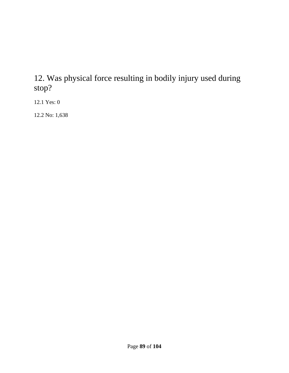## 12. Was physical force resulting in bodily injury used during stop?

12.1 Yes: 0

12.2 No: 1,638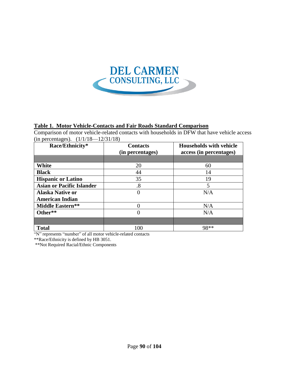

#### **Table 1. Motor Vehicle-Contacts and Fair Roads Standard Comparison**

Comparison of motor vehicle-related contacts with households in DFW that have vehicle access (in percentages). (1/1/18—12/31/18)

| $\sigma$ . $\sigma$ , $\sigma$ , $\sigma$ , $\sigma$<br>Race/Ethnicity* | <b>Contacts</b><br>(in percentages) | <b>Households with vehicle</b><br>access (in percentages) |
|-------------------------------------------------------------------------|-------------------------------------|-----------------------------------------------------------|
|                                                                         |                                     |                                                           |
| White                                                                   | 20                                  | 60                                                        |
| <b>Black</b>                                                            | 44                                  | 14                                                        |
| <b>Hispanic or Latino</b>                                               | 35                                  | 19                                                        |
| <b>Asian or Pacific Islander</b>                                        | .8                                  | 5                                                         |
| <b>Alaska Native or</b>                                                 |                                     | N/A                                                       |
| <b>American Indian</b>                                                  |                                     |                                                           |
| Middle Eastern**                                                        |                                     | N/A                                                       |
| Other**                                                                 | $\Omega$                            | N/A                                                       |
|                                                                         |                                     |                                                           |
| <b>Total</b>                                                            | 100                                 | 98**                                                      |

"N" represents "number" of all motor vehicle-related contacts

\*\*Race/Ethnicity is defined by HB 3051.

\*\*Not Required Racial/Ethnic Components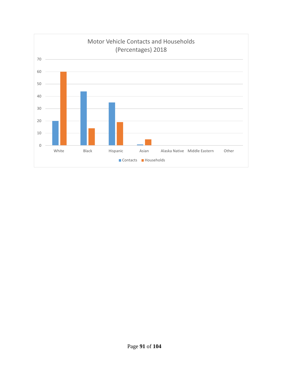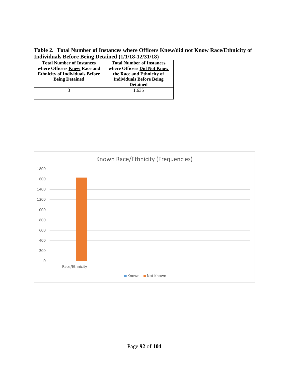**Table 2. Total Number of Instances where Officers Knew/did not Know Race/Ethnicity of Individuals Before Being Detained (1/1/18-12/31/18)**

| $1.1001$ , $1.00001$ , $1.0101$ , $1.011$ , $1.0001$ , $1.0001$ , $1.0001$ , $1.0001$ |                                  |  |
|---------------------------------------------------------------------------------------|----------------------------------|--|
| <b>Total Number of Instances</b>                                                      | <b>Total Number of Instances</b> |  |
| where Officers Knew Race and                                                          | where Officers Did Not Know      |  |
| <b>Ethnicity of Individuals Before</b>                                                | the Race and Ethnicity of        |  |
| <b>Being Detained</b>                                                                 | <b>Individuals Before Being</b>  |  |
|                                                                                       | <b>Detained</b>                  |  |
|                                                                                       | 1,635                            |  |
|                                                                                       |                                  |  |

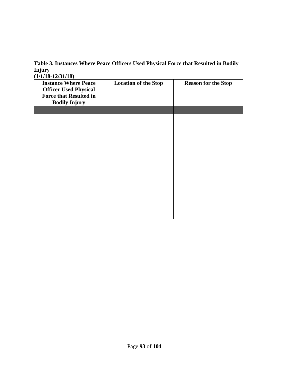**Table 3. Instances Where Peace Officers Used Physical Force that Resulted in Bodily Injury (1/1/18-12/31/18)**

| <b>Instance Where Peace</b><br><b>Officer Used Physical</b><br><b>Force that Resulted in</b><br><b>Bodily Injury</b> | <b>Location of the Stop</b> | <b>Reason for the Stop</b> |
|----------------------------------------------------------------------------------------------------------------------|-----------------------------|----------------------------|
|                                                                                                                      |                             |                            |
|                                                                                                                      |                             |                            |
|                                                                                                                      |                             |                            |
|                                                                                                                      |                             |                            |
|                                                                                                                      |                             |                            |
|                                                                                                                      |                             |                            |
|                                                                                                                      |                             |                            |
|                                                                                                                      |                             |                            |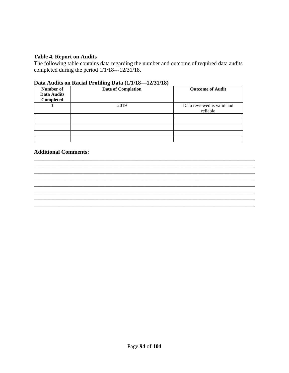#### **Table 4. Report on Audits**

The following table contains data regarding the number and outcome of required data audits completed during the period 1/1/18---12/31/18.

#### **Data Audits on Racial Profiling Data (1/1/18—12/31/18)**

| Number of<br>Data Audits<br>Completed | <b>Date of Completion</b> | <b>Outcome of Audit</b>                |
|---------------------------------------|---------------------------|----------------------------------------|
|                                       | 2019                      | Data reviewed is valid and<br>reliable |
|                                       |                           |                                        |
|                                       |                           |                                        |
|                                       |                           |                                        |
|                                       |                           |                                        |
|                                       |                           |                                        |

\_\_\_\_\_\_\_\_\_\_\_\_\_\_\_\_\_\_\_\_\_\_\_\_\_\_\_\_\_\_\_\_\_\_\_\_\_\_\_\_\_\_\_\_\_\_\_\_\_\_\_\_\_\_\_\_\_\_\_\_\_\_\_\_\_\_\_\_\_\_\_\_\_\_\_\_\_\_ \_\_\_\_\_\_\_\_\_\_\_\_\_\_\_\_\_\_\_\_\_\_\_\_\_\_\_\_\_\_\_\_\_\_\_\_\_\_\_\_\_\_\_\_\_\_\_\_\_\_\_\_\_\_\_\_\_\_\_\_\_\_\_\_\_\_\_\_\_\_\_\_\_\_\_\_\_\_

\_\_\_\_\_\_\_\_\_\_\_\_\_\_\_\_\_\_\_\_\_\_\_\_\_\_\_\_\_\_\_\_\_\_\_\_\_\_\_\_\_\_\_\_\_\_\_\_\_\_\_\_\_\_\_\_\_\_\_\_\_\_\_\_\_\_\_\_\_\_\_\_\_\_\_\_\_\_ \_\_\_\_\_\_\_\_\_\_\_\_\_\_\_\_\_\_\_\_\_\_\_\_\_\_\_\_\_\_\_\_\_\_\_\_\_\_\_\_\_\_\_\_\_\_\_\_\_\_\_\_\_\_\_\_\_\_\_\_\_\_\_\_\_\_\_\_\_\_\_\_\_\_\_\_\_\_

\_\_\_\_\_\_\_\_\_\_\_\_\_\_\_\_\_\_\_\_\_\_\_\_\_\_\_\_\_\_\_\_\_\_\_\_\_\_\_\_\_\_\_\_\_\_\_\_\_\_\_\_\_\_\_\_\_\_\_\_\_\_\_\_\_\_\_\_\_\_\_\_\_\_\_\_\_\_

#### **Additional Comments:**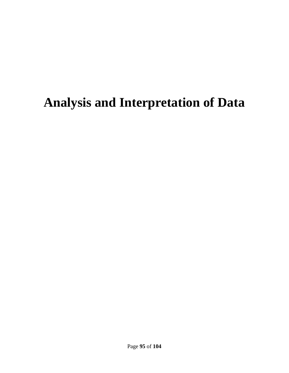## **Analysis and Interpretation of Data**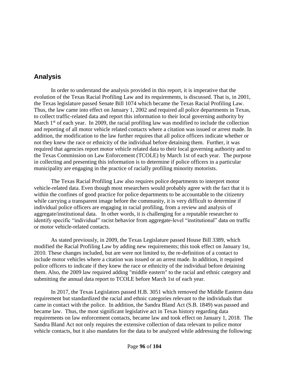## **Analysis**

In order to understand the analysis provided in this report, it is imperative that the evolution of the Texas Racial Profiling Law and its requirements, is discussed. That is, in 2001, the Texas legislature passed Senate Bill 1074 which became the Texas Racial Profiling Law. Thus, the law came into effect on January 1, 2002 and required all police departments in Texas, to collect traffic-related data and report this information to their local governing authority by March  $1<sup>st</sup>$  of each year. In 2009, the racial profiling law was modified to include the collection and reporting of all motor vehicle related contacts where a citation was issued or arrest made. In addition, the modification to the law further requires that all police officers indicate whether or not they knew the race or ethnicity of the individual before detaining them. Further, it was required that agencies report motor vehicle related data to their local governing authority and to the Texas Commission on Law Enforcement (TCOLE) by March 1st of each year. The purpose in collecting and presenting this information is to determine if police officers in a particular municipality are engaging in the practice of racially profiling minority motorists.

The Texas Racial Profiling Law also requires police departments to interpret motor vehicle-related data. Even though most researchers would probably agree with the fact that it is within the confines of good practice for police departments to be accountable to the citizenry while carrying a transparent image before the community, it is very difficult to determine if individual police officers are engaging in racial profiling, from a review and analysis of aggregate/institutional data. In other words, it is challenging for a reputable researcher to identify specific "individual" racist behavior from aggregate-level "institutional" data on traffic or motor vehicle-related contacts.

As stated previously, in 2009, the Texas Legislature passed House Bill 3389, which modified the Racial Profiling Law by adding new requirements; this took effect on January 1st, 2010. These changes included, but are were not limited to, the re-definition of a contact to include motor vehicles where a citation was issued or an arrest made. In addition, it required police officers to indicate if they knew the race or ethnicity of the individual before detaining them. Also, the 2009 law required adding "middle eastern" to the racial and ethnic category and submitting the annual data report to TCOLE before March 1st of each year.

In 2017, the Texas Legislators passed H.B. 3051 which removed the Middle Eastern data requirement but standardized the racial and ethnic categories relevant to the individuals that came in contact with the police. In addition, the Sandra Bland Act (S.B. 1849) was passed and became law. Thus, the most significant legislative act in Texas history regarding data requirements on law enforcement contacts, became law and took effect on January 1, 2018. The Sandra Bland Act not only requires the extensive collection of data relevant to police motor vehicle contacts, but it also mandates for the data to be analyzed while addressing the following: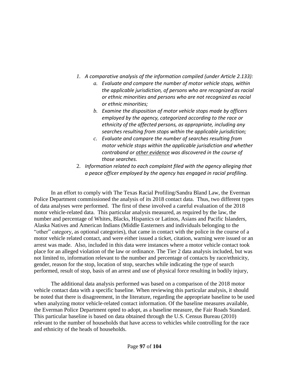- *1. A comparative analysis of the information compiled (under Article 2.133):*
	- *a. Evaluate and compare the number of motor vehicle stops, within the applicable jurisdiction, of persons who are recognized as racial or ethnic minorities and persons who are not recognized as racial or ethnic minorities;*
	- *b. Examine the disposition of motor vehicle stops made by officers employed by the agency, categorized according to the race or ethnicity of the affected persons, as appropriate, including any searches resulting from stops within the applicable jurisdiction;*
	- *c. Evaluate and compare the number of searches resulting from motor vehicle stops within the applicable jurisdiction and whether contraband or other evidence was discovered in the course of those searches.*
- 2. *Information related to each complaint filed with the agency alleging that a peace officer employed by the agency has engaged in racial profiling*.

In an effort to comply with The Texas Racial Profiling/Sandra Bland Law, the Everman Police Department commissioned the analysis of its 2018 contact data. Thus, two different types of data analyses were performed. The first of these involved a careful evaluation of the 2018 motor vehicle-related data. This particular analysis measured, as required by the law, the number and percentage of Whites, Blacks, Hispanics or Latinos, Asians and Pacific Islanders, Alaska Natives and American Indians (Middle Easterners and individuals belonging to the "other" category, as optional categories), that came in contact with the police in the course of a motor vehicle related contact, and were either issued a ticket, citation, warning were issued or an arrest was made. Also, included in this data were instances where a motor vehicle contact took place for an alleged violation of the law or ordinance. The Tier 2 data analysis included, but was not limited to, information relevant to the number and percentage of contacts by race/ethnicity, gender, reason for the stop, location of stop, searches while indicating the type of search performed, result of stop, basis of an arrest and use of physical force resulting in bodily injury,

The additional data analysis performed was based on a comparison of the 2018 motor vehicle contact data with a specific baseline. When reviewing this particular analysis, it should be noted that there is disagreement, in the literature, regarding the appropriate baseline to be used when analyzing motor vehicle-related contact information. Of the baseline measures available, the Everman Police Department opted to adopt, as a baseline measure, the Fair Roads Standard. This particular baseline is based on data obtained through the U.S. Census Bureau (2010) relevant to the number of households that have access to vehicles while controlling for the race and ethnicity of the heads of households.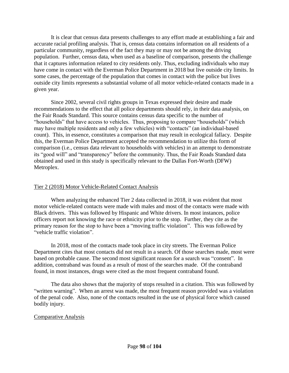It is clear that census data presents challenges to any effort made at establishing a fair and accurate racial profiling analysis. That is, census data contains information on all residents of a particular community, regardless of the fact they may or may not be among the driving population. Further, census data, when used as a baseline of comparison, presents the challenge that it captures information related to city residents only. Thus, excluding individuals who may have come in contact with the Everman Police Department in 2018 but live outside city limits. In some cases, the percentage of the population that comes in contact with the police but lives outside city limits represents a substantial volume of all motor vehicle-related contacts made in a given year.

Since 2002, several civil rights groups in Texas expressed their desire and made recommendations to the effect that all police departments should rely, in their data analysis, on the Fair Roads Standard. This source contains census data specific to the number of "households" that have access to vehicles. Thus, proposing to compare "households" (which may have multiple residents and only a few vehicles) with "contacts" (an individual-based count). This, in essence, constitutes a comparison that may result in ecological fallacy. Despite this, the Everman Police Department accepted the recommendation to utilize this form of comparison (i.e., census data relevant to households with vehicles) in an attempt to demonstrate its "good will" and "transparency" before the community. Thus, the Fair Roads Standard data obtained and used in this study is specifically relevant to the Dallas Fort-Worth (DFW) Metroplex.

#### Tier 2 (2018) Motor Vehicle-Related Contact Analysis

When analyzing the enhanced Tier 2 data collected in 2018, it was evident that most motor vehicle-related contacts were made with males and most of the contacts were made with Black drivers. This was followed by Hispanic and White drivers. In most instances, police officers report not knowing the race or ethnicity prior to the stop. Further, they cite as the primary reason for the stop to have been a "moving traffic violation". This was followed by "vehicle traffic violation".

In 2018, most of the contacts made took place in city streets. The Everman Police Department cites that most contacts did not result in a search. Of those searches made, most were based on probable cause. The second most significant reason for a search was "consent". In addition, contraband was found as a result of most of the searches made. Of the contraband found, in most instances, drugs were cited as the most frequent contraband found.

The data also shows that the majority of stops resulted in a citation. This was followed by "written warning". When an arrest was made, the most frequent reason provided was a violation of the penal code. Also, none of the contacts resulted in the use of physical force which caused bodily injury.

#### Comparative Analysis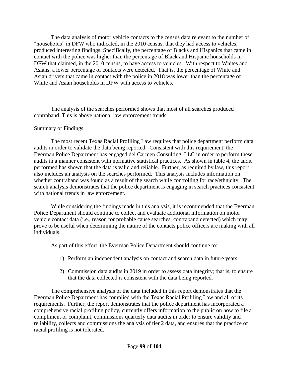The data analysis of motor vehicle contacts to the census data relevant to the number of "households" in DFW who indicated, in the 2010 census, that they had access to vehicles, produced interesting findings. Specifically, the percentage of Blacks and Hispanics that came in contact with the police was higher than the percentage of Black and Hispanic households in DFW that claimed, in the 2010 census, to have access to vehicles. With respect to Whites and Asians, a lower percentage of contacts were detected. That is, the percentage of White and Asian drivers that came in contact with the police in 2018 was lower than the percentage of White and Asian households in DFW with access to vehicles.

The analysis of the searches performed shows that most of all searches produced contraband. This is above national law enforcement trends.

#### Summary of Findings

The most recent Texas Racial Profiling Law requires that police department perform data audits in order to validate the data being reported. Consistent with this requirement, the Everman Police Department has engaged del Carmen Consulting, LLC in order to perform these audits in a manner consistent with normative statistical practices. As shown in table 4, the audit performed has shown that the data is valid and reliable. Further, as required by law, this report also includes an analysis on the searches performed. This analysis includes information on whether contraband was found as a result of the search while controlling for race/ethnicity. The search analysis demonstrates that the police department is engaging in search practices consistent with national trends in law enforcement.

While considering the findings made in this analysis, it is recommended that the Everman Police Department should continue to collect and evaluate additional information on motor vehicle contact data (i.e., reason for probable cause searches, contraband detected) which may prove to be useful when determining the nature of the contacts police officers are making with all individuals.

As part of this effort, the Everman Police Department should continue to:

- 1) Perform an independent analysis on contact and search data in future years.
- 2) Commission data audits in 2019 in order to assess data integrity; that is, to ensure that the data collected is consistent with the data being reported.

The comprehensive analysis of the data included in this report demonstrates that the Everman Police Department has complied with the Texas Racial Profiling Law and all of its requirements. Further, the report demonstrates that the police department has incorporated a comprehensive racial profiling policy, currently offers information to the public on how to file a compliment or complaint, commissions quarterly data audits in order to ensure validity and reliability, collects and commissions the analysis of tier 2 data, and ensures that the practice of racial profiling is not tolerated.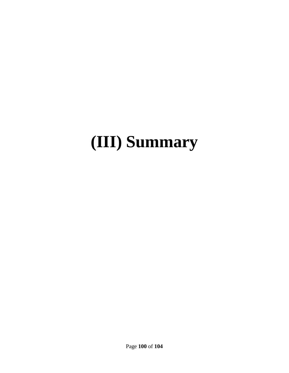# **(III) Summary**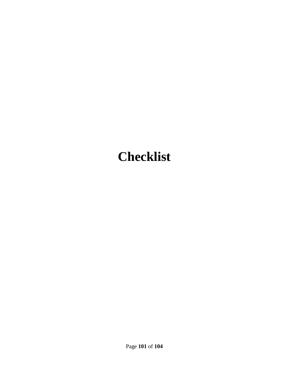## **Checklist**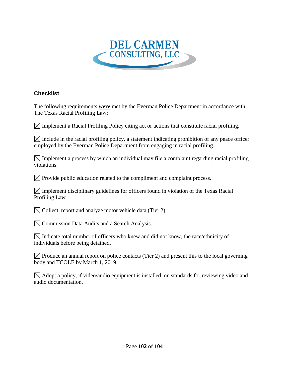

### **Checklist**

The following requirements **were** met by the Everman Police Department in accordance with The Texas Racial Profiling Law:

 $\boxtimes$  Implement a Racial Profiling Policy citing act or actions that constitute racial profiling.

 $\boxtimes$  Include in the racial profiling policy, a statement indicating prohibition of any peace officer employed by the Everman Police Department from engaging in racial profiling.

 $\boxtimes$  Implement a process by which an individual may file a complaint regarding racial profiling violations.

 $\boxtimes$  Provide public education related to the compliment and complaint process.

 $\boxtimes$  Implement disciplinary guidelines for officers found in violation of the Texas Racial Profiling Law.

 $\boxtimes$  Collect, report and analyze motor vehicle data (Tier 2).

 $\boxtimes$  Commission Data Audits and a Search Analysis.

 $\boxtimes$  Indicate total number of officers who knew and did not know, the race/ethnicity of individuals before being detained.

 $\boxtimes$  Produce an annual report on police contacts (Tier 2) and present this to the local governing body and TCOLE by March 1, 2019.

 $\boxtimes$  Adopt a policy, if video/audio equipment is installed, on standards for reviewing video and audio documentation.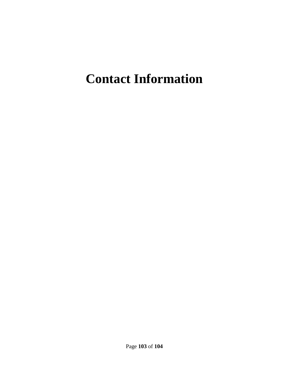## **Contact Information**